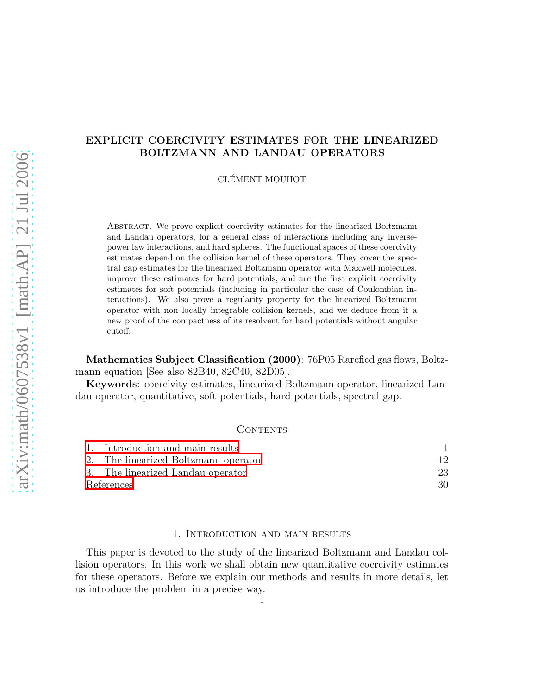# EXPLICIT COERCIVITY ESTIMATES FOR THE LINEARIZED BOLTZMANN AND LANDAU OPERATORS

CLÉMENT MOUHOT

Abstract. We prove explicit coercivity estimates for the linearized Boltzmann and Landau operators, for a general class of interactions including any inversepower law interactions, and hard spheres. The functional spaces of these coercivity estimates depend on the collision kernel of these operators. They cover the spectral gap estimates for the linearized Boltzmann operator with Maxwell molecules, improve these estimates for hard potentials, and are the first explicit coercivity estimates for soft potentials (including in particular the case of Coulombian interactions). We also prove a regularity property for the linearized Boltzmann operator with non locally integrable collision kernels, and we deduce from it a new proof of the compactness of its resolvent for hard potentials without angular cutoff.

Mathematics Subject Classification (2000): 76P05 Rarefied gas flows, Boltzmann equation [See also 82B40, 82C40, 82D05].

Keywords: coercivity estimates, linearized Boltzmann operator, linearized Landau operator, quantitative, soft potentials, hard potentials, spectral gap.

## **CONTENTS**

|            | 1. Introduction and main results     |    |
|------------|--------------------------------------|----|
|            | 2. The linearized Boltzmann operator | 12 |
|            | 3. The linearized Landau operator    | 23 |
| References |                                      | 30 |

### 1. Introduction and main results

<span id="page-0-0"></span>This paper is devoted to the study of the linearized Boltzmann and Landau collision operators. In this work we shall obtain new quantitative coercivity estimates for these operators. Before we explain our methods and results in more details, let us introduce the problem in a precise way.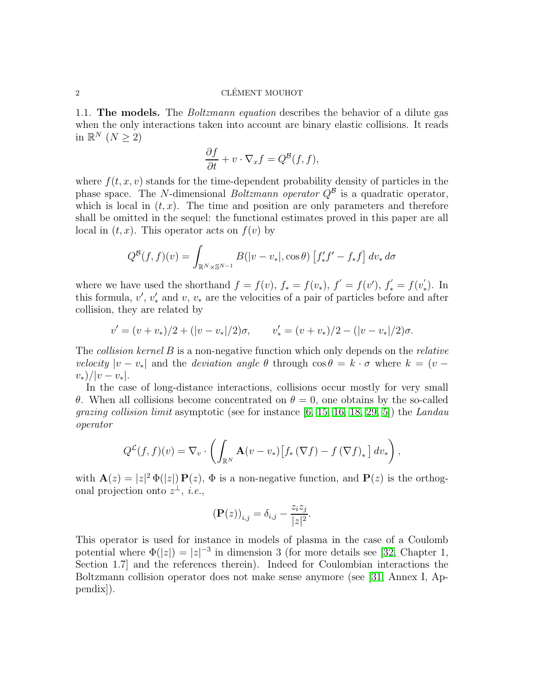1.1. The models. The Boltzmann equation describes the behavior of a dilute gas when the only interactions taken into account are binary elastic collisions. It reads in  $\mathbb{R}^N$   $(N \geq 2)$ 

$$
\frac{\partial f}{\partial t} + v \cdot \nabla_x f = Q^{\mathcal{B}}(f, f),
$$

where  $f(t, x, v)$  stands for the time-dependent probability density of particles in the phase space. The N-dimensional Boltzmann operator  $Q^{\beta}$  is a quadratic operator, which is local in  $(t, x)$ . The time and position are only parameters and therefore shall be omitted in the sequel: the functional estimates proved in this paper are all local in  $(t, x)$ . This operator acts on  $f(v)$  by

$$
Q^{\mathcal{B}}(f,f)(v) = \int_{\mathbb{R}^N \times \mathbb{S}^{N-1}} B(|v-v_*|, \cos \theta) \left[ f'_* f' - f_* f \right] dv_* d\sigma
$$

where we have used the shorthand  $f = f(v)$ ,  $f_* = f(v_*)$ ,  $f' = f(v')$ ,  $f'_* = f(v'_*)$ ∗ ). In this formula,  $v'$ ,  $v'_*$  and  $v$ ,  $v_*$  are the velocities of a pair of particles before and after collision, they are related by

$$
v' = (v + v_*)/2 + (|v - v_*|/2)\sigma, \qquad v'_* = (v + v_*)/2 - (|v - v_*|/2)\sigma.
$$

The *collision kernel B* is a non-negative function which only depends on the *relative* velocity  $|v - v_*|$  and the *deviation angle*  $\theta$  through  $\cos \theta = k \cdot \sigma$  where  $k = (v$  $v_*/|v-v_*|$ .

In the case of long-distance interactions, collisions occur mostly for very small θ. When all collisions become concentrated on  $θ = 0$ , one obtains by the so-called *grazing collision limit* asymptotic (see for instance  $[6, 15, 16, 18, 29, 5]$  $[6, 15, 16, 18, 29, 5]$  $[6, 15, 16, 18, 29, 5]$  $[6, 15, 16, 18, 29, 5]$  $[6, 15, 16, 18, 29, 5]$  $[6, 15, 16, 18, 29, 5]$ ) the *Landau* operator

$$
Q^{\mathcal{L}}(f,f)(v) = \nabla_v \cdot \left( \int_{\mathbb{R}^N} \mathbf{A}(v - v_*) \big[ f_* \left( \nabla f \right) - f \left( \nabla f \right)_* \big] dv_* \right),
$$

with  $\mathbf{A}(z) = |z|^2 \Phi(|z|) \mathbf{P}(z)$ ,  $\Phi$  is a non-negative function, and  $\mathbf{P}(z)$  is the orthogonal projection onto  $z^{\perp}$ , *i.e.*,

$$
\left(\mathbf{P}(z)\right)_{i,j} = \delta_{i,j} - \frac{z_i z_j}{|z|^2}.
$$

This operator is used for instance in models of plasma in the case of a Coulomb potential where  $\Phi(|z|) = |z|^{-3}$  in dimension 3 (for more details see [\[32,](#page-31-1) Chapter 1, Section 1.7] and the references therein). Indeed for Coulombian interactions the Boltzmann collision operator does not make sense anymore (see [\[31,](#page-31-2) Annex I, Appendix]).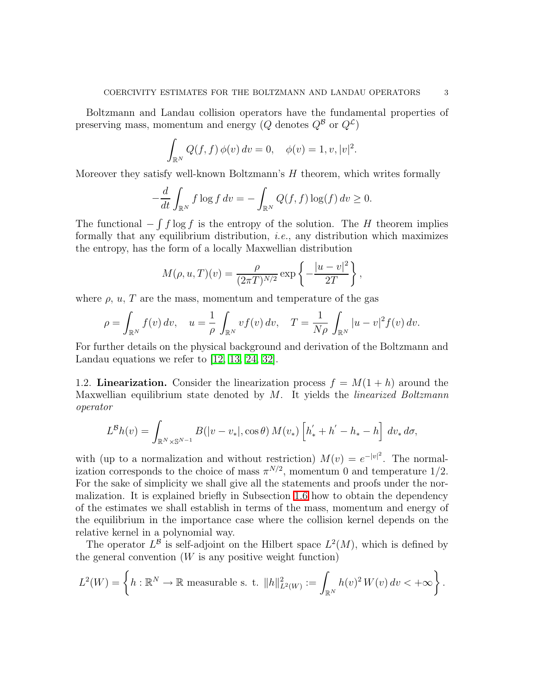Boltzmann and Landau collision operators have the fundamental properties of preserving mass, momentum and energy (Q denotes  $Q^{\mathcal{B}}$  or  $Q^{\mathcal{L}}$ )

$$
\int_{\mathbb{R}^N} Q(f, f) \, \phi(v) \, dv = 0, \quad \phi(v) = 1, v, |v|^2.
$$

Moreover they satisfy well-known Boltzmann's H theorem, which writes formally

$$
-\frac{d}{dt} \int_{\mathbb{R}^N} f \log f \, dv = -\int_{\mathbb{R}^N} Q(f, f) \log(f) \, dv \ge 0.
$$

The functional  $-\int f \log f$  is the entropy of the solution. The H theorem implies formally that any equilibrium distribution, i.e., any distribution which maximizes the entropy, has the form of a locally Maxwellian distribution

$$
M(\rho, u, T)(v) = \frac{\rho}{(2\pi T)^{N/2}} \exp \left\{-\frac{|u - v|^2}{2T}\right\},\,
$$

where  $\rho$ ,  $u$ ,  $T$  are the mass, momentum and temperature of the gas

$$
\rho = \int_{\mathbb{R}^N} f(v) \, dv, \quad u = \frac{1}{\rho} \int_{\mathbb{R}^N} v f(v) \, dv, \quad T = \frac{1}{N\rho} \int_{\mathbb{R}^N} |u - v|^2 f(v) \, dv.
$$

For further details on the physical background and derivation of the Boltzmann and Landau equations we refer to [\[12,](#page-30-5) [13,](#page-30-6) [24,](#page-30-7) [32\]](#page-31-1).

1.2. Linearization. Consider the linearization process  $f = M(1 + h)$  around the Maxwellian equilibrium state denoted by  $M$ . It yields the *linearized Boltzmann* operator

$$
L^{\mathcal{B}}h(v) = \int_{\mathbb{R}^N \times \mathbb{S}^{N-1}} B(|v - v_*|, \cos \theta) M(v_*) \left[ h'_* + h' - h_* - h \right] dv_* d\sigma,
$$

with (up to a normalization and without restriction)  $M(v) = e^{-|v|^2}$ . The normalization corresponds to the choice of mass  $\pi^{N/2}$ , momentum 0 and temperature 1/2. For the sake of simplicity we shall give all the statements and proofs under the normalization. It is explained briefly in Subsection [1.6](#page-9-0) how to obtain the dependency of the estimates we shall establish in terms of the mass, momentum and energy of the equilibrium in the importance case where the collision kernel depends on the relative kernel in a polynomial way.

The operator  $L^{\beta}$  is self-adjoint on the Hilbert space  $L^2(M)$ , which is defined by the general convention  $(W$  is any positive weight function)

$$
L^{2}(W) = \left\{ h: \mathbb{R}^{N} \to \mathbb{R} \text{ measurable s. t. } ||h||_{L^{2}(W)}^{2} := \int_{\mathbb{R}^{N}} h(v)^{2} W(v) dv < +\infty \right\}.
$$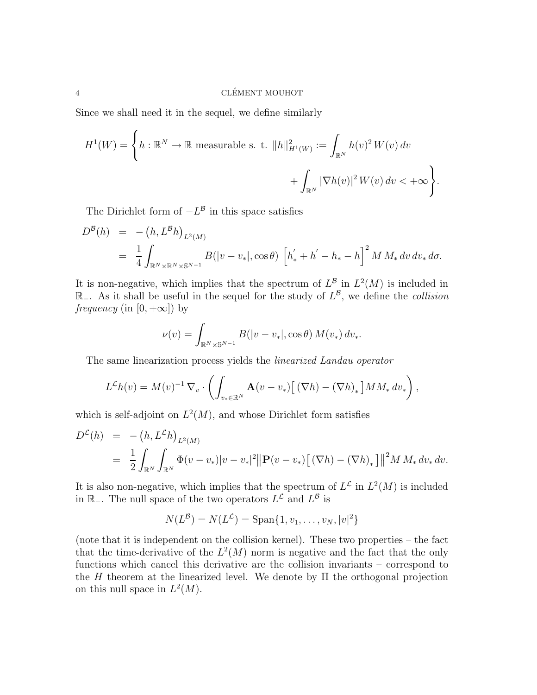Since we shall need it in the sequel, we define similarly

$$
H^{1}(W) = \left\{ h: \mathbb{R}^{N} \to \mathbb{R} \text{ measurable s. t. } ||h||_{H^{1}(W)}^{2} := \int_{\mathbb{R}^{N}} h(v)^{2} W(v) dv
$$
  
+ 
$$
\int_{\mathbb{R}^{N}} |\nabla h(v)|^{2} W(v) dv < +\infty \right\}.
$$

The Dirichlet form of  $-L^B$  in this space satisfies

$$
D^{B}(h) = - (h, L^{B}h)_{L^{2}(M)}
$$
  
=  $\frac{1}{4} \int_{\mathbb{R}^{N} \times \mathbb{R}^{N} \times \mathbb{S}^{N-1}} B(|v - v_{*}|, \cos \theta) \left[ h_{*}^{\prime} + h_{-}^{\prime} - h_{*} - h \right]^{2} M M_{*} dv dv_{*} d\sigma.$ 

It is non-negative, which implies that the spectrum of  $L^{\mathcal{B}}$  in  $L^2(M)$  is included in  $\mathbb{R}_-$ . As it shall be useful in the sequel for the study of  $L^{\mathcal{B}}$ , we define the *collision frequency* (in  $[0, +\infty]$ ) by

$$
\nu(v) = \int_{\mathbb{R}^N \times \mathbb{S}^{N-1}} B(|v - v_*|, \cos \theta) M(v_*) dv_*.
$$

The same linearization process yields the linearized Landau operator

$$
L^{\mathcal{L}}h(v) = M(v)^{-1} \nabla_v \cdot \left( \int_{v_* \in \mathbb{R}^N} \mathbf{A}(v - v_*) \big[ \left( \nabla h \right) - \left( \nabla h \right)_* \big] MM_* \, dv_* \right),
$$

which is self-adjoint on  $L^2(M)$ , and whose Dirichlet form satisfies

$$
D^{\mathcal{L}}(h) = - (h, L^{\mathcal{L}}h)_{L^{2}(M)}
$$
  
= 
$$
\frac{1}{2} \int_{\mathbb{R}^{N}} \int_{\mathbb{R}^{N}} \Phi(v - v_{*}) |v - v_{*}|^{2} ||\mathbf{P}(v - v_{*}) [(\nabla h) - (\nabla h)_{*}]||^{2} M M_{*} dv_{*} dv.
$$

It is also non-negative, which implies that the spectrum of  $L^{\mathcal{L}}$  in  $L^2(M)$  is included in  $\mathbb{R}_-$ . The null space of the two operators  $L^{\mathcal{L}}$  and  $L^{\mathcal{B}}$  is

$$
N(L^{\mathcal{B}}) = N(L^{\mathcal{L}}) = \text{Span}\{1, v_1, \dots, v_N, |v|^2\}
$$

(note that it is independent on the collision kernel). These two properties – the fact that the time-derivative of the  $L^2(M)$  norm is negative and the fact that the only functions which cancel this derivative are the collision invariants – correspond to the H theorem at the linearized level. We denote by  $\Pi$  the orthogonal projection on this null space in  $L^2(M)$ .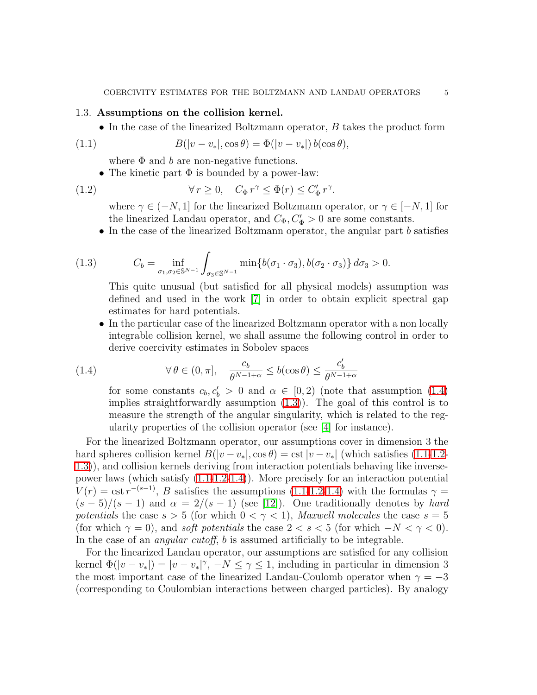### 1.3. Assumptions on the collision kernel.

• In the case of the linearized Boltzmann operator, B takes the product form

(1.1) 
$$
B(|v - v_*|, \cos \theta) = \Phi(|v - v_*|) b(\cos \theta),
$$

<span id="page-4-3"></span><span id="page-4-2"></span>where  $\Phi$  and  $b$  are non-negative functions.

• The kinetic part  $\Phi$  is bounded by a power-law:

(1.2) 
$$
\forall r \geq 0, \quad C_{\Phi} r^{\gamma} \leq \Phi(r) \leq C'_{\Phi} r^{\gamma}.
$$

where  $\gamma \in (-N, 1]$  for the linearized Boltzmann operator, or  $\gamma \in [-N, 1]$  for the linearized Landau operator, and  $C_{\Phi}$ ,  $C_{\Phi}$  > 0 are some constants.

• In the case of the linearized Boltzmann operator, the angular part b satisfies

<span id="page-4-1"></span>(1.3) 
$$
C_b = \inf_{\sigma_1, \sigma_2 \in \mathbb{S}^{N-1}} \int_{\sigma_3 \in \mathbb{S}^{N-1}} \min \{b(\sigma_1 \cdot \sigma_3), b(\sigma_2 \cdot \sigma_3) \} d\sigma_3 > 0.
$$

<span id="page-4-0"></span>This quite unusual (but satisfied for all physical models) assumption was defined and used in the work [\[7\]](#page-30-8) in order to obtain explicit spectral gap estimates for hard potentials.

• In the particular case of the linearized Boltzmann operator with a non locally integrable collision kernel, we shall assume the following control in order to derive coercivity estimates in Sobolev spaces

(1.4) 
$$
\forall \theta \in (0, \pi], \quad \frac{c_b}{\theta^{N-1+\alpha}} \le b(\cos \theta) \le \frac{c'_b}{\theta^{N-1+\alpha}}
$$

for some constants  $c_b, c'_b > 0$  and  $\alpha \in [0, 2)$  (note that assumption [\(1.4\)](#page-4-0) implies straightforwardly assumption  $(1.3)$ . The goal of this control is to measure the strength of the angular singularity, which is related to the regularity properties of the collision operator (see [\[4\]](#page-30-9) for instance).

For the linearized Boltzmann operator, our assumptions cover in dimension 3 the hard spheres collision kernel  $B(|v-v_*|,\cos\theta) = \text{cst}|v-v_*|$  (which satisfies [\(1.1-](#page-4-2)[1.2-](#page-4-3) [1.3\)](#page-4-1)), and collision kernels deriving from interaction potentials behaving like inversepower laws (which satisfy [\(1.1-](#page-4-2)[1.2-](#page-4-3)[1.4\)](#page-4-0)). More precisely for an interaction potential  $V(r) = \text{cst } r^{-(s-1)}$ , B satisfies the assumptions [\(1.1-](#page-4-2)[1.2](#page-4-3)[-1.4\)](#page-4-0) with the formulas  $\gamma =$  $(s-5)/(s-1)$  and  $\alpha = 2/(s-1)$  (see [\[12\]](#page-30-5)). One traditionally denotes by *hard* potentials the case  $s > 5$  (for which  $0 < \gamma < 1$ ), Maxwell molecules the case  $s = 5$ (for which  $\gamma = 0$ ), and *soft potentials* the case  $2 < s < 5$  (for which  $-N < \gamma < 0$ ). In the case of an *angular cutoff*, b is assumed artificially to be integrable.

For the linearized Landau operator, our assumptions are satisfied for any collision kernel  $\Phi(|v-v_*|) = |v-v_*|^\gamma$ ,  $-N \leq \gamma \leq 1$ , including in particular in dimension 3 the most important case of the linearized Landau-Coulomb operator when  $\gamma = -3$ (corresponding to Coulombian interactions between charged particles). By analogy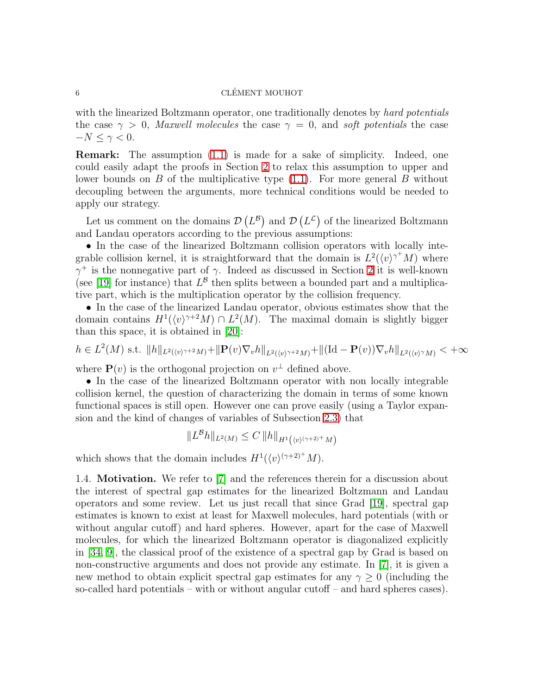with the linearized Boltzmann operator, one traditionally denotes by hard potentials the case  $\gamma > 0$ , Maxwell molecules the case  $\gamma = 0$ , and soft potentials the case  $-N \leq \gamma < 0$ .

Remark: The assumption [\(1.1\)](#page-4-2) is made for a sake of simplicity. Indeed, one could easily adapt the proofs in Section [2](#page-11-0) to relax this assumption to upper and lower bounds on  $B$  of the multiplicative type  $(1.1)$ . For more general  $B$  without decoupling between the arguments, more technical conditions would be needed to apply our strategy.

Let us comment on the domains  $\mathcal{D}(L^{\beta})$  and  $\mathcal{D}(L^{\mathcal{L}})$  of the linearized Boltzmann and Landau operators according to the previous assumptions:

• In the case of the linearized Boltzmann collision operators with locally integrable collision kernel, it is straightforward that the domain is  $L^2(\langle v \rangle^{\gamma^+} M)$  where  $\gamma^+$  is the nonnegative part of  $\gamma$ . Indeed as discussed in Section [2](#page-11-0) it is well-known (see [\[19\]](#page-30-10) for instance) that  $L^{\beta}$  then splits between a bounded part and a multiplicative part, which is the multiplication operator by the collision frequency.

• In the case of the linearized Landau operator, obvious estimates show that the domain contains  $H^1(\langle v \rangle^{\gamma+2}M) \cap L^2(M)$ . The maximal domain is slightly bigger than this space, it is obtained in [\[20\]](#page-30-11):

$$
h \in L^{2}(M) \text{ s.t. } ||h||_{L^{2}(\langle v \rangle^{\gamma+2}M)} + ||\mathbf{P}(v)\nabla_{v}h||_{L^{2}(\langle v \rangle^{\gamma+2}M)} + ||(\mathrm{Id}-\mathbf{P}(v))\nabla_{v}h||_{L^{2}(\langle v \rangle^{\gamma}M)} < +\infty
$$

where  $\mathbf{P}(v)$  is the orthogonal projection on  $v^{\perp}$  defined above.

• In the case of the linearized Boltzmann operator with non locally integrable collision kernel, the question of characterizing the domain in terms of some known functional spaces is still open. However one can prove easily (using a Taylor expansion and the kind of changes of variables of Subsection [2.3\)](#page-19-0) that

$$
||L^B h||_{L^2(M)} \leq C ||h||_{H^1(\langle v \rangle^{(\gamma+2)^+} M)}
$$

which shows that the domain includes  $H^1(\langle v \rangle^{(\gamma+2)^+} M)$ .

1.4. Motivation. We refer to [\[7\]](#page-30-8) and the references therein for a discussion about the interest of spectral gap estimates for the linearized Boltzmann and Landau operators and some review. Let us just recall that since Grad [\[19\]](#page-30-10), spectral gap estimates is known to exist at least for Maxwell molecules, hard potentials (with or without angular cutoff) and hard spheres. However, apart for the case of Maxwell molecules, for which the linearized Boltzmann operator is diagonalized explicitly in [\[34,](#page-31-3) [9\]](#page-30-12), the classical proof of the existence of a spectral gap by Grad is based on non-constructive arguments and does not provide any estimate. In [\[7\]](#page-30-8), it is given a new method to obtain explicit spectral gap estimates for any  $\gamma \geq 0$  (including the so-called hard potentials – with or without angular cutoff – and hard spheres cases).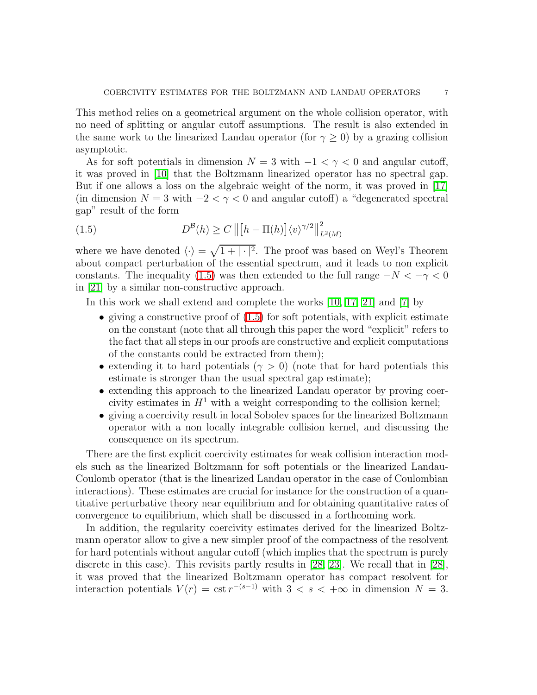This method relies on a geometrical argument on the whole collision operator, with no need of splitting or angular cutoff assumptions. The result is also extended in the same work to the linearized Landau operator (for  $\gamma \geq 0$ ) by a grazing collision asymptotic.

As for soft potentials in dimension  $N = 3$  with  $-1 < \gamma < 0$  and angular cutoff, it was proved in [\[10\]](#page-30-13) that the Boltzmann linearized operator has no spectral gap. But if one allows a loss on the algebraic weight of the norm, it was proved in [\[17\]](#page-30-14) (in dimension  $N = 3$  with  $-2 < \gamma < 0$  and angular cutoff) a "degenerated spectral gap" result of the form

<span id="page-6-0"></span>(1.5) 
$$
D^{\mathcal{B}}(h) \ge C \left\| \left[ h - \Pi(h) \right] \langle v \rangle^{\gamma/2} \right\|_{L^2(M)}^2
$$

where we have denoted  $\langle \cdot \rangle = \sqrt{1 + |\cdot|^2}$ . The proof was based on Weyl's Theorem about compact perturbation of the essential spectrum, and it leads to non explicit constants. The inequality [\(1.5\)](#page-6-0) was then extended to the full range  $-N < -\gamma < 0$ in [\[21\]](#page-30-15) by a similar non-constructive approach.

In this work we shall extend and complete the works [\[10,](#page-30-13) [17,](#page-30-14) [21\]](#page-30-15) and [\[7\]](#page-30-8) by

- giving a constructive proof of  $(1.5)$  for soft potentials, with explicit estimate on the constant (note that all through this paper the word "explicit" refers to the fact that all steps in our proofs are constructive and explicit computations of the constants could be extracted from them);
- extending it to hard potentials ( $\gamma > 0$ ) (note that for hard potentials this estimate is stronger than the usual spectral gap estimate);
- extending this approach to the linearized Landau operator by proving coercivity estimates in  $H^1$  with a weight corresponding to the collision kernel;
- giving a coercivity result in local Sobolev spaces for the linearized Boltzmann operator with a non locally integrable collision kernel, and discussing the consequence on its spectrum.

There are the first explicit coercivity estimates for weak collision interaction models such as the linearized Boltzmann for soft potentials or the linearized Landau-Coulomb operator (that is the linearized Landau operator in the case of Coulombian interactions). These estimates are crucial for instance for the construction of a quantitative perturbative theory near equilibrium and for obtaining quantitative rates of convergence to equilibrium, which shall be discussed in a forthcoming work.

In addition, the regularity coercivity estimates derived for the linearized Boltzmann operator allow to give a new simpler proof of the compactness of the resolvent for hard potentials without angular cutoff (which implies that the spectrum is purely discrete in this case). This revisits partly results in [\[28,](#page-31-4) [23\]](#page-30-16). We recall that in [\[28\]](#page-31-4), it was proved that the linearized Boltzmann operator has compact resolvent for interaction potentials  $V(r) = \text{cst } r^{-(s-1)}$  with  $3 < s < +\infty$  in dimension  $N = 3$ .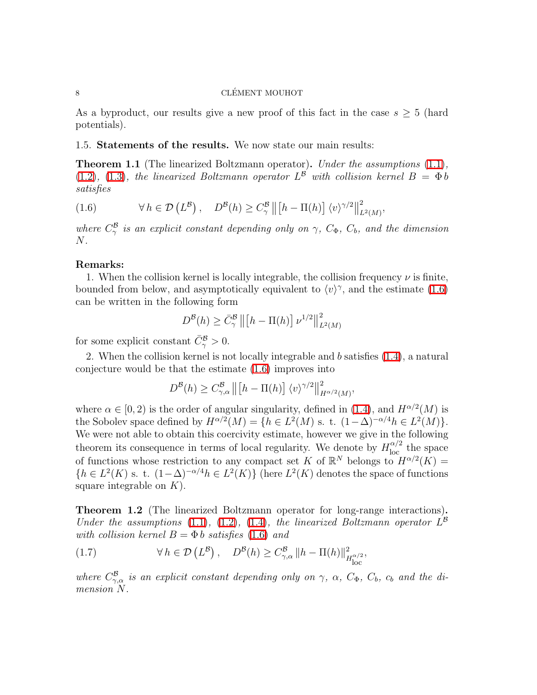As a byproduct, our results give a new proof of this fact in the case  $s \geq 5$  (hard potentials).

### <span id="page-7-2"></span>1.5. Statements of the results. We now state our main results:

<span id="page-7-0"></span>Theorem 1.1 (The linearized Boltzmann operator). Under the assumptions [\(1.1\)](#page-4-2),  $(1.2)$ ,  $(1.3)$ , the linearized Boltzmann operator  $L^{\beta}$  with collision kernel  $B = \Phi b$ satisfies

(1.6) 
$$
\forall h \in \mathcal{D}(L^{\mathcal{B}}), \quad D^{\mathcal{B}}(h) \ge C_{\gamma}^{\mathcal{B}} \left\| \left[h - \Pi(h)\right] \langle v \rangle^{\gamma/2} \right\|_{L^{2}(M)}^{2},
$$

where  $C^{\beta}_{\gamma}$  is an explicit constant depending only on  $\gamma$ ,  $C_{\Phi}$ ,  $C_{b}$ , and the dimension  $N$ .

## Remarks:

1. When the collision kernel is locally integrable, the collision frequency  $\nu$  is finite, bounded from below, and asymptotically equivalent to  $\langle v \rangle^{\gamma}$ , and the estimate [\(1.6\)](#page-7-0) can be written in the following form

$$
D^{\mathcal{B}}(h) \ge \bar{C}_{\gamma}^{\mathcal{B}} \left\| \left[ h - \Pi(h) \right] \nu^{1/2} \right\|_{L^2(M)}^2
$$

for some explicit constant  $\bar{C}_{\gamma}^{\mathcal{B}} > 0$ .

2. When the collision kernel is not locally integrable and b satisfies [\(1.4\)](#page-4-0), a natural conjecture would be that the estimate [\(1.6\)](#page-7-0) improves into

$$
D^{\mathcal{B}}(h) \ge C_{\gamma,\alpha}^{\mathcal{B}} \left\| \left[ h - \Pi(h) \right] \langle v \rangle^{\gamma/2} \right\|_{H^{\alpha/2}(M)}^2,
$$

where  $\alpha \in [0, 2)$  is the order of angular singularity, defined in [\(1.4\)](#page-4-0), and  $H^{\alpha/2}(M)$  is the Sobolev space defined by  $H^{\alpha/2}(M) = \{h \in L^2(M) \text{ s. t. } (1-\Delta)^{-\alpha/4}h \in L^2(M)\}.$ We were not able to obtain this coercivity estimate, however we give in the following theorem its consequence in terms of local regularity. We denote by  $H_{\text{loc}}^{\alpha/2}$  the space of functions whose restriction to any compact set K of  $\mathbb{R}^N$  belongs to  $H^{\alpha/2}(K)$  =  ${h \in L^2(K) \text{ s. t. } (1-\Delta)^{-\alpha/4}h \in L^2(K)}$  (here  $L^2(K)$  denotes the space of functions square integrable on  $K$ ).

<span id="page-7-1"></span>Theorem 1.2 (The linearized Boltzmann operator for long-range interactions). Under the assumptions [\(1.1\)](#page-4-2), [\(1.2\)](#page-4-3), [\(1.4\)](#page-4-0), the linearized Boltzmann operator  $L^{\beta}$ with collision kernel  $B = \Phi b$  satisfies [\(1.6\)](#page-7-0) and

(1.7) 
$$
\forall h \in \mathcal{D}(L^{\mathcal{B}}), \quad D^{\mathcal{B}}(h) \ge C_{\gamma,\alpha}^{\mathcal{B}} \|h - \Pi(h)\|_{H_{\text{loc}}^{\alpha/2}}^2,
$$

where  $C_{\gamma,\alpha}^{\beta}$  is an explicit constant depending only on  $\gamma$ ,  $\alpha$ ,  $C_{\Phi}$ ,  $C_{b}$ ,  $c_{b}$  and the dimension N.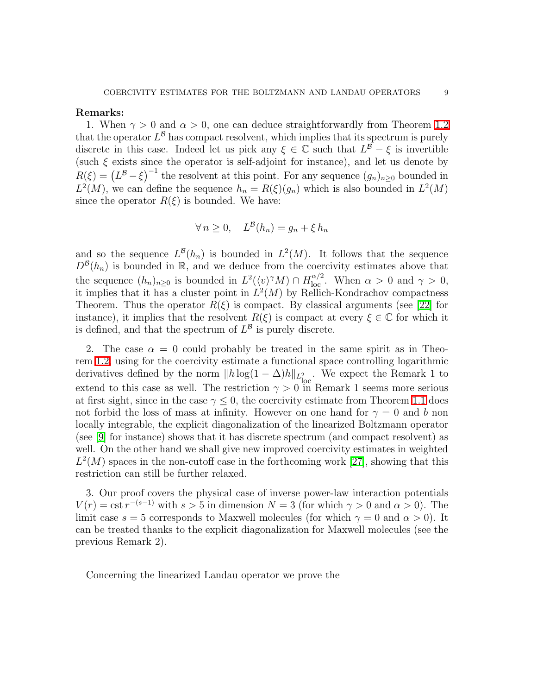### Remarks:

1. When  $\gamma > 0$  and  $\alpha > 0$ , one can deduce straightforwardly from Theorem [1.2](#page-7-1) that the operator  $L^{\beta}$  has compact resolvent, which implies that its spectrum is purely discrete in this case. Indeed let us pick any  $\xi \in \mathbb{C}$  such that  $L^{\mathcal{B}} - \xi$  is invertible (such  $\xi$  exists since the operator is self-adjoint for instance), and let us denote by  $R(\xi) = (L^{\beta} - \xi)^{-1}$  the resolvent at this point. For any sequence  $(g_n)_{n \geq 0}$  bounded in  $L^2(M)$ , we can define the sequence  $h_n = R(\xi)(g_n)$  which is also bounded in  $L^2(M)$ since the operator  $R(\xi)$  is bounded. We have:

$$
\forall n \ge 0, \quad L^{\mathcal{B}}(h_n) = g_n + \xi h_n
$$

and so the sequence  $L^{\mathcal{B}}(h_n)$  is bounded in  $L^2(M)$ . It follows that the sequence  $D^{\mathcal{B}}(h_n)$  is bounded in R, and we deduce from the coercivity estimates above that the sequence  $(h_n)_{n\geq 0}$  is bounded in  $L^2(\langle v \rangle^\gamma M) \cap H_{\text{loc}}^{\alpha/2}$ . When  $\alpha > 0$  and  $\gamma > 0$ , it implies that it has a cluster point in  $L^2(M)$  by Rellich-Kondrachov compactness Theorem. Thus the operator  $R(\xi)$  is compact. By classical arguments (see [\[22\]](#page-30-17) for instance), it implies that the resolvent  $R(\xi)$  is compact at every  $\xi \in \mathbb{C}$  for which it is defined, and that the spectrum of  $L^{\beta}$  is purely discrete.

2. The case  $\alpha = 0$  could probably be treated in the same spirit as in Theorem [1.2,](#page-7-1) using for the coercivity estimate a functional space controlling logarithmic derivatives defined by the norm  $||h \log(1 - \Delta)h||_{L^2_{loc}}$ . We expect the Remark 1 to extend to this case as well. The restriction  $\gamma > 0$  in Remark 1 seems more serious at first sight, since in the case  $\gamma \leq 0$ , the coercivity estimate from Theorem [1.1](#page-7-2) does not forbid the loss of mass at infinity. However on one hand for  $\gamma = 0$  and b non locally integrable, the explicit diagonalization of the linearized Boltzmann operator (see [\[9\]](#page-30-12) for instance) shows that it has discrete spectrum (and compact resolvent) as well. On the other hand we shall give new improved coercivity estimates in weighted  $L^2(M)$  spaces in the non-cutoff case in the forthcoming work [\[27\]](#page-31-5), showing that this restriction can still be further relaxed.

3. Our proof covers the physical case of inverse power-law interaction potentials  $V(r) = \text{cst } r^{-(s-1)}$  with  $s > 5$  in dimension  $N = 3$  (for which  $\gamma > 0$  and  $\alpha > 0$ ). The limit case  $s = 5$  corresponds to Maxwell molecules (for which  $\gamma = 0$  and  $\alpha > 0$ ). It can be treated thanks to the explicit diagonalization for Maxwell molecules (see the previous Remark 2).

<span id="page-8-0"></span>Concerning the linearized Landau operator we prove the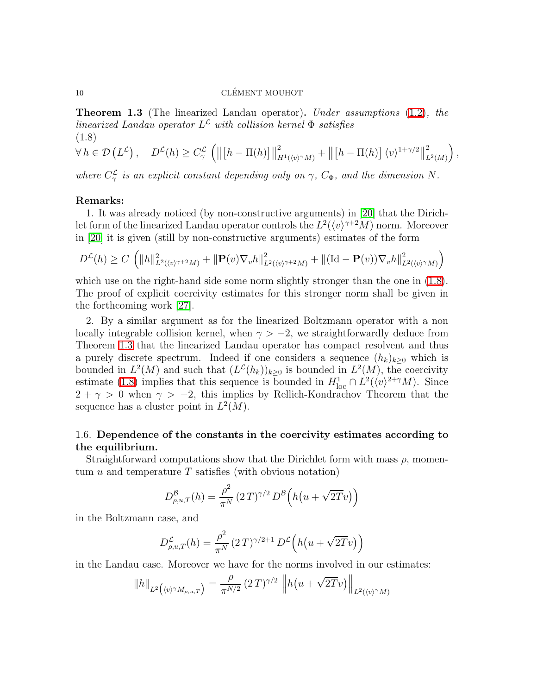Theorem 1.3 (The linearized Landau operator). Under assumptions [\(1.2\)](#page-4-3), the linearized Landau operator  $L^{\mathcal{L}}$  with collision kernel  $\Phi$  satisfies (1.8)

$$
\forall h \in \mathcal{D}(L^2), \quad D^{\mathcal{L}}(h) \ge C_{\gamma}^{\mathcal{L}} \left( \left\| \left[ h - \Pi(h) \right] \right\|_{H^1(\langle v \rangle^{\gamma} M)}^2 + \left\| \left[ h - \Pi(h) \right] \langle v \rangle^{1 + \gamma/2} \right\|_{L^2(M)}^2 \right)
$$

<span id="page-9-1"></span>,

where  $C_{\gamma}^{\mathcal{L}}$  is an explicit constant depending only on  $\gamma$ ,  $C_{\Phi}$ , and the dimension N.

### Remarks:

1. It was already noticed (by non-constructive arguments) in [\[20\]](#page-30-11) that the Dirichlet form of the linearized Landau operator controls the  $L^2(\langle v \rangle^{\gamma+2}M)$  norm. Moreover in [\[20\]](#page-30-11) it is given (still by non-constructive arguments) estimates of the form

$$
D^{\mathcal{L}}(h) \ge C \left( \|h\|_{L^{2}(\langle v \rangle^{\gamma+2} M)}^{2} + \|P(v)\nabla_{v}h\|_{L^{2}(\langle v \rangle^{\gamma+2} M)}^{2} + \|(\mathrm{Id}-P(v))\nabla_{v}h\|_{L^{2}(\langle v \rangle^{\gamma} M)}^{2} \right)
$$

which use on the right-hand side some norm slightly stronger than the one in  $(1.8)$ . The proof of explicit coercivity estimates for this stronger norm shall be given in the forthcoming work [\[27\]](#page-31-5).

2. By a similar argument as for the linearized Boltzmann operator with a non locally integrable collision kernel, when  $\gamma > -2$ , we straightforwardly deduce from Theorem [1.3](#page-8-0) that the linearized Landau operator has compact resolvent and thus a purely discrete spectrum. Indeed if one considers a sequence  $(h_k)_{k\geq 0}$  which is bounded in  $L^2(M)$  and such that  $(L^2(h_k))_{k\geq 0}$  is bounded in  $L^2(M)$ , the coercivity estimate [\(1.8\)](#page-9-1) implies that this sequence is bounded in  $H_{\text{loc}}^1 \cap L^2(\langle v \rangle^{2+\gamma}M)$ . Since  $2 + \gamma > 0$  when  $\gamma > -2$ , this implies by Rellich-Kondrachov Theorem that the sequence has a cluster point in  $L^2(M)$ .

# <span id="page-9-0"></span>1.6. Dependence of the constants in the coercivity estimates according to the equilibrium.

Straightforward computations show that the Dirichlet form with mass  $\rho$ , momentum  $u$  and temperature  $T$  satisfies (with obvious notation)

$$
D_{\rho,u,T}^{\mathcal{B}}(h) = \frac{\rho^2}{\pi^N} (2T)^{\gamma/2} D^{\mathcal{B}}\left(h\left(u+\sqrt{2T}v\right)\right)
$$

in the Boltzmann case, and

$$
D_{\rho,u,T}^{\mathcal{L}}(h) = \frac{\rho^2}{\pi^N} (2T)^{\gamma/2+1} D^{\mathcal{L}}(h(u+\sqrt{2T}v))
$$

in the Landau case. Moreover we have for the norms involved in our estimates:

$$
||h||_{L^2(\langle v \rangle \gamma M_{\rho,u,T})} = \frac{\rho}{\pi^{N/2}} (2T)^{\gamma/2} ||h(u + \sqrt{2T}v)||_{L^2(\langle v \rangle \gamma M)}
$$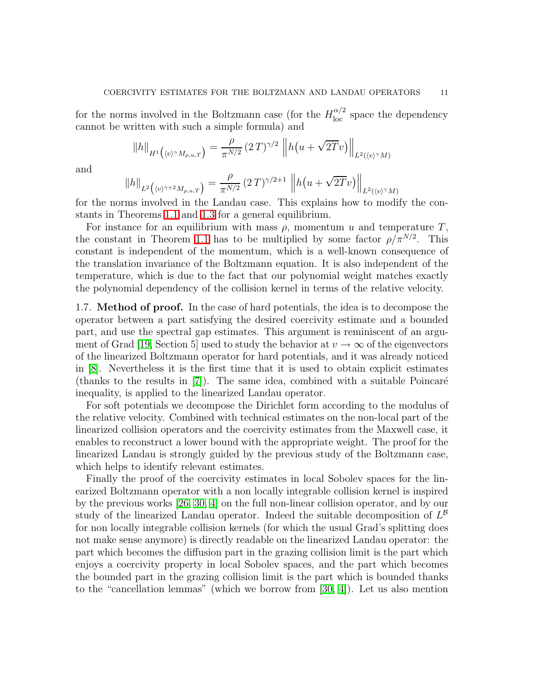for the norms involved in the Boltzmann case (for the  $H_{\text{loc}}^{\alpha/2}$  space the dependency cannot be written with such a simple formula) and

$$
||h||_{H^1(\langle v \rangle^{\gamma} M_{\rho, u, T})} = \frac{\rho}{\pi^{N/2}} (2T)^{\gamma/2} ||h(u + \sqrt{2T}v)||_{L^2(\langle v \rangle^{\gamma} M)}
$$

and

$$
||h||_{L^2(\langle v \rangle^{\gamma+2} M_{\rho,u,T})} = \frac{\rho}{\pi^{N/2}} (2T)^{\gamma/2+1} ||h(u + \sqrt{2T}v)||_{L^2(\langle v \rangle^{\gamma} M)}
$$

for the norms involved in the Landau case. This explains how to modify the constants in Theorems [1.1](#page-7-2) and [1.3](#page-8-0) for a general equilibrium.

For instance for an equilibrium with mass  $\rho$ , momentum u and temperature T, the constant in Theorem [1.1](#page-7-2) has to be multiplied by some factor  $\rho/\pi^{N/2}$ . This constant is independent of the momentum, which is a well-known consequence of the translation invariance of the Boltzmann equation. It is also independent of the temperature, which is due to the fact that our polynomial weight matches exactly the polynomial dependency of the collision kernel in terms of the relative velocity.

1.7. Method of proof. In the case of hard potentials, the idea is to decompose the operator between a part satisfying the desired coercivity estimate and a bounded part, and use the spectral gap estimates. This argument is reminiscent of an argu-ment of Grad [\[19,](#page-30-10) Section 5] used to study the behavior at  $v \to \infty$  of the eigenvectors of the linearized Boltzmann operator for hard potentials, and it was already noticed in [\[8\]](#page-30-18). Nevertheless it is the first time that it is used to obtain explicit estimates (thanks to the results in  $[7]$ ). The same idea, combined with a suitable Poincaré inequality, is applied to the linearized Landau operator.

For soft potentials we decompose the Dirichlet form according to the modulus of the relative velocity. Combined with technical estimates on the non-local part of the linearized collision operators and the coercivity estimates from the Maxwell case, it enables to reconstruct a lower bound with the appropriate weight. The proof for the linearized Landau is strongly guided by the previous study of the Boltzmann case, which helps to identify relevant estimates.

Finally the proof of the coercivity estimates in local Sobolev spaces for the linearized Boltzmann operator with a non locally integrable collision kernel is inspired by the previous works [\[26,](#page-31-6) [30,](#page-31-7) [4\]](#page-30-9) on the full non-linear collision operator, and by our study of the linearized Landau operator. Indeed the suitable decomposition of  $L^{\mathcal{B}}$ for non locally integrable collision kernels (for which the usual Grad's splitting does not make sense anymore) is directly readable on the linearized Landau operator: the part which becomes the diffusion part in the grazing collision limit is the part which enjoys a coercivity property in local Sobolev spaces, and the part which becomes the bounded part in the grazing collision limit is the part which is bounded thanks to the "cancellation lemmas" (which we borrow from [\[30,](#page-31-7) [4\]](#page-30-9)). Let us also mention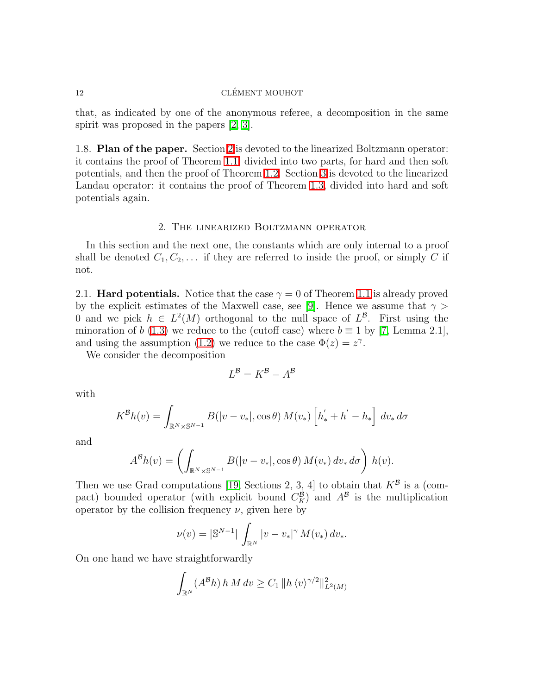that, as indicated by one of the anonymous referee, a decomposition in the same spirit was proposed in the papers  $[2, 3]$  $[2, 3]$ .

1.8. Plan of the paper. Section [2](#page-11-0) is devoted to the linearized Boltzmann operator: it contains the proof of Theorem [1.1,](#page-7-2) divided into two parts, for hard and then soft potentials, and then the proof of Theorem [1.2.](#page-7-1) Section [3](#page-22-0) is devoted to the linearized Landau operator: it contains the proof of Theorem [1.3,](#page-8-0) divided into hard and soft potentials again.

## 2. The linearized Boltzmann operator

<span id="page-11-0"></span>In this section and the next one, the constants which are only internal to a proof shall be denoted  $C_1, C_2, \ldots$  if they are referred to inside the proof, or simply C if not.

2.1. **Hard potentials.** Notice that the case  $\gamma = 0$  of Theorem [1.1](#page-7-2) is already proved by the explicit estimates of the Maxwell case, see [\[9\]](#page-30-12). Hence we assume that  $\gamma$ 0 and we pick  $h \in L^2(M)$  orthogonal to the null space of  $L^2$ . First using the minoration of b [\(1.3\)](#page-4-1) we reduce to the (cutoff case) where  $b \equiv 1$  by [\[7,](#page-30-8) Lemma 2.1], and using the assumption [\(1.2\)](#page-4-3) we reduce to the case  $\Phi(z) = z^{\gamma}$ .

We consider the decomposition

$$
L^{\mathcal{B}} = K^{\mathcal{B}} - A^{\mathcal{B}}
$$

with

$$
K^{\mathcal{B}}h(v) = \int_{\mathbb{R}^N \times \mathbb{S}^{N-1}} B(|v - v_*|, \cos \theta) M(v_*) \left[ h'_* + h' - h_* \right] dv_* d\sigma
$$

and

$$
A^{\mathcal{B}}h(v) = \left(\int_{\mathbb{R}^N\times\mathbb{S}^{N-1}}B(|v-v_*|,\cos\theta) M(v_*)\,dv_*\,d\sigma\right)h(v).
$$

Then we use Grad computations [\[19,](#page-30-10) Sections 2, 3, 4] to obtain that  $K^{\mathcal{B}}$  is a (compact) bounded operator (with explicit bound  $C_K^B$ ) and  $A^B$  is the multiplication operator by the collision frequency  $\nu$ , given here by

$$
\nu(v) = |\mathbb{S}^{N-1}| \int_{\mathbb{R}^N} |v - v_*|^\gamma M(v_*) dv_*.
$$

On one hand we have straightforwardly

$$
\int_{\mathbb{R}^N} (A^{\mathcal{B}} h) h M dv \ge C_1 \| h \langle v \rangle^{\gamma/2} \|_{L^2(M)}^2
$$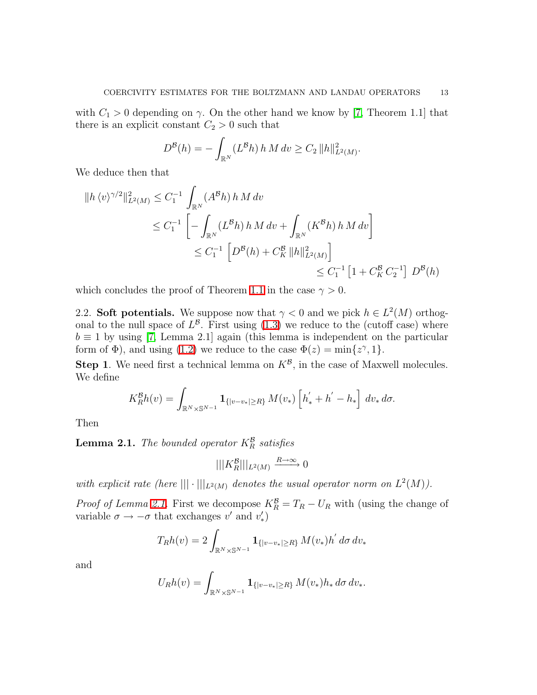with  $C_1 > 0$  depending on  $\gamma$ . On the other hand we know by [\[7,](#page-30-8) Theorem 1.1] that there is an explicit constant  $C_2 > 0$  such that

$$
D^{\mathcal{B}}(h) = -\int_{\mathbb{R}^N} (L^{\mathcal{B}} h) h \, M \, dv \ge C_2 \, ||h||^2_{L^2(M)}.
$$

We deduce then that

$$
\begin{aligned} \|h \langle v \rangle^{\gamma/2} \|_{L^2(M)}^2 &\leq C_1^{-1} \int_{\mathbb{R}^N} (A^\mathcal{B} h) \, h \, M \, dv \\ &\leq C_1^{-1} \left[ - \int_{\mathbb{R}^N} (L^\mathcal{B} h) \, h \, M \, dv + \int_{\mathbb{R}^N} (K^\mathcal{B} h) \, h \, M \, dv \right] \\ &\leq C_1^{-1} \left[ D^\mathcal{B}(h) + C_K^\mathcal{B} \|h\|_{L^2(M)}^2 \right] \\ &\leq C_1^{-1} \left[ 1 + C_K^\mathcal{B} C_2^{-1} \right] \, D^\mathcal{B}(h) \end{aligned}
$$

which concludes the proof of Theorem [1.1](#page-7-2) in the case  $\gamma > 0$ .

2.2. Soft potentials. We suppose now that  $\gamma < 0$  and we pick  $h \in L^2(M)$  orthogonal to the null space of  $L^{\mathcal{B}}$ . First using  $(1.3)$  we reduce to the (cutoff case) where  $b \equiv 1$  by using [\[7,](#page-30-8) Lemma 2.1] again (this lemma is independent on the particular form of  $\Phi$ ), and using [\(1.2\)](#page-4-3) we reduce to the case  $\Phi(z) = \min\{z^{\gamma}, 1\}.$ 

**Step 1**. We need first a technical lemma on  $K^{\beta}$ , in the case of Maxwell molecules. We define

$$
K_R^{\mathcal{B}}h(v) = \int_{\mathbb{R}^N \times \mathbb{S}^{N-1}} \mathbf{1}_{\{|v-v*| \ge R\}} M(v_*) \left[ h'_* + h' - h_* \right] dv_* d\sigma.
$$

<span id="page-12-0"></span>Then

**Lemma 2.1.** The bounded operator  $K_R^{\mathcal{B}}$  satisfies

$$
|||K_R^{\mathcal{B}}|||_{L^2(M)} \xrightarrow{R \to \infty} 0
$$

with explicit rate (here  $\|\cdot\||_{L^2(M)}$  denotes the usual operator norm on  $L^2(M)$ ).

*Proof of Lemma [2.1.](#page-12-0)* First we decompose  $K_R^B = T_R - U_R$  with (using the change of variable  $\sigma \to -\sigma$  that exchanges v' and  $v'_*$ )

$$
T_R h(v) = 2 \int_{\mathbb{R}^N \times \mathbb{S}^{N-1}} \mathbf{1}_{\{|v-v_*| \ge R\}} M(v_*) h' d\sigma dv_*
$$

and

$$
U_R h(v) = \int_{\mathbb{R}^N \times \mathbb{S}^{N-1}} \mathbf{1}_{\{|v-v_*| \ge R\}} M(v_*) h_* d\sigma dv_*.
$$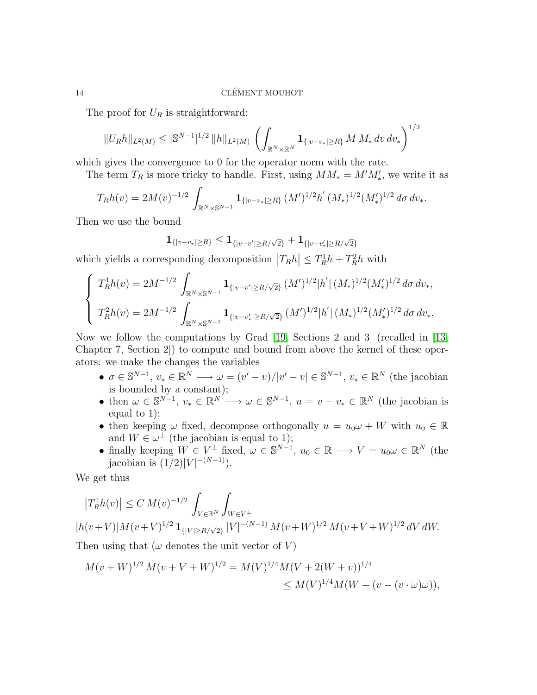The proof for  $U_R$  is straightforward:

$$
||U_Rh||_{L^2(M)} \leq |\mathbb{S}^{N-1}|^{1/2} ||h||_{L^2(M)} \left( \int_{\mathbb{R}^N \times \mathbb{R}^N} \mathbf{1}_{\{|v-v_*| \geq R\}} M M_* dv dv_* \right)^{1/2}
$$

which gives the convergence to 0 for the operator norm with the rate.

The term  $T_R$  is more tricky to handle. First, using  $MM_* = M'M'_*,$  we write it as

$$
T_R h(v) = 2M(v)^{-1/2} \int_{\mathbb{R}^N \times \mathbb{S}^{N-1}} \mathbf{1}_{\{|v-v_*|\geq R\}} (M')^{1/2} h' (M_*)^{1/2} (M'_*)^{1/2} d\sigma dv_*.
$$

Then we use the bound

$$
\mathbf{1}_{\{|v-v_{*}|\geq R\}} \leq \mathbf{1}_{\{|v-v'|\geq R/\sqrt{2}\}} + \mathbf{1}_{\{|v-v'_{*}|\geq R/\sqrt{2}\}}
$$

which yields a corresponding decomposition  $|T_R h| \le T_R^1 h + T_R^2 h$  with

$$
\begin{cases}\nT_R^1 h(v) = 2M^{-1/2} \int_{\mathbb{R}^N \times \mathbb{S}^{N-1}} \mathbf{1}_{\{|v-v'|\ge R/\sqrt{2}\}} (M')^{1/2} |h'| (M_*)^{1/2} (M_*)^{1/2} d\sigma dv_*, \\
T_R^2 h(v) = 2M^{-1/2} \int_{\mathbb{R}^N \times \mathbb{S}^{N-1}} \mathbf{1}_{\{|v-v'|\ge R/\sqrt{2}\}} (M')^{1/2} |h'| (M_*)^{1/2} (M_*)^{1/2} d\sigma dv_*.\n\end{cases}
$$

Now we follow the computations by Grad [\[19,](#page-30-10) Sections 2 and 3] (recalled in [\[13,](#page-30-6) Chapter 7, Section 2]) to compute and bound from above the kernel of these operators: we make the changes the variables

- $\sigma \in \mathbb{S}^{N-1}, v_* \in \mathbb{R}^N \longrightarrow \omega = (v'-v)/|v'-v| \in \mathbb{S}^{N-1}, v_* \in \mathbb{R}^N$  (the jacobian is bounded by a constant);
- then  $\omega \in \mathbb{S}^{N-1}$ ,  $v_* \in \mathbb{R}^{N} \longrightarrow \omega \in \mathbb{S}^{N-1}$ ,  $u = v v_* \in \mathbb{R}^{N}$  (the jacobian is equal to 1);
- then keeping  $\omega$  fixed, decompose orthogonally  $u = u_0 \omega + W$  with  $u_0 \in \mathbb{R}$ and  $W \in \omega^{\perp}$  (the jacobian is equal to 1);
- finally keeping  $W \in V^{\perp}$  fixed,  $\omega \in \mathbb{S}^{N-1}$ ,  $u_0 \in \mathbb{R} \longrightarrow V = u_0 \omega \in \mathbb{R}^N$  (the jacobian is  $(1/2)|V|^{-(N-1)}$ ).

We get thus

$$
|T_R^1 h(v)| \leq C M(v)^{-1/2} \int_{V \in \mathbb{R}^N} \int_{W \in V^\perp} \int_{W \in V^\perp} |h(v+V)| M(v+V)^{1/2} \mathbf{1}_{\{|V| \geq R/\sqrt{2}\}} |V|^{-(N-1)} M(v+W)^{1/2} M(v+V+W)^{1/2} dV dW.
$$
  
Then using that  $(\omega$  denotes the unit vector of  $V)$ 

$$
M(v+W)^{1/2} M(v+V+W)^{1/2} = M(V)^{1/4} M(V+2(W+v))^{1/4}
$$
  
\n
$$
\leq M(V)^{1/4} M(W+(v-(v\cdot\omega)\omega)),
$$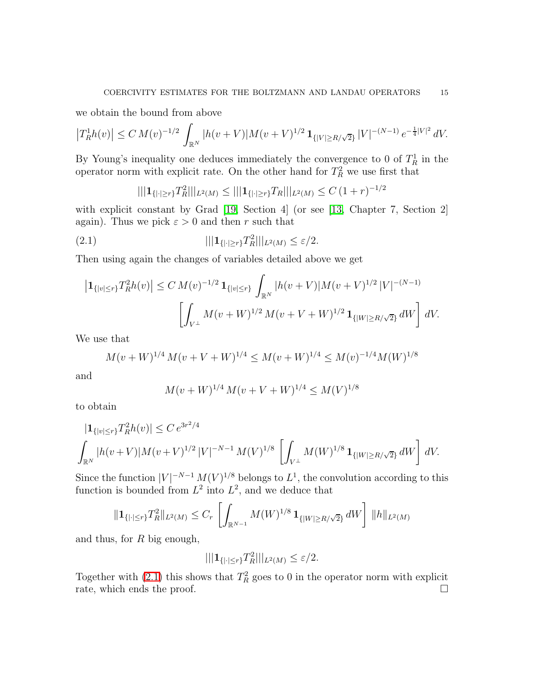we obtain the bound from above

$$
\left|T_R^1 h(v)\right| \le C M(v)^{-1/2} \int_{\mathbb{R}^N} |h(v+V)| M(v+V)^{1/2} \mathbf{1}_{\{|V| \ge R/\sqrt{2}\}} |V|^{-(N-1)} e^{-\frac{1}{4}|V|^2} dV.
$$

By Young's inequality one deduces immediately the convergence to 0 of  $T_R^1$  in the operator norm with explicit rate. On the other hand for  $T_R^2$  we use first that

<span id="page-14-0"></span>
$$
|||{\bf 1}_{\{|{\cdot}|\geq r\}}T_R^2|||_{L^2(M)} \leq |||{\bf 1}_{\{|{\cdot}|\geq r\}}T_R|||_{L^2(M)} \leq C (1+r)^{-1/2}
$$

with explicit constant by Grad [\[19,](#page-30-10) Section 4] (or see [\[13,](#page-30-6) Chapter 7, Section 2] again). Thus we pick  $\varepsilon > 0$  and then r such that

(2.1) 
$$
|||{\bf 1}_{\{|{\cdot}|\geq r\}}T_R^2|||_{L^2(M)} \leq \varepsilon/2.
$$

Then using again the changes of variables detailed above we get

$$
\left| \mathbf{1}_{\{|v| \le r\}} T_R^2 h(v) \right| \le C \, M(v)^{-1/2} \, \mathbf{1}_{\{|v| \le r\}} \int_{\mathbb{R}^N} |h(v+V)| M(v+V)^{1/2} \, |V|^{-(N-1)} \, \left[ \int_{V^\perp} M(v+W)^{1/2} \, M(v+V+W)^{1/2} \, \mathbf{1}_{\{|W| \ge R/\sqrt{2}\}} \, dW \right] \, dV.
$$

We use that

$$
M(v+W)^{1/4} M(v+V+W)^{1/4} \le M(v+W)^{1/4} \le M(v)^{-1/4} M(W)^{1/8}
$$

and

$$
M(v+W)^{1/4} M(v+V+W)^{1/4} \le M(V)^{1/8}
$$

to obtain

$$
\begin{aligned} |1_{\{|v| \le r\}} T_R^2 h(v)| &\le C \, e^{3r^2/4} \\ \int_{\mathbb{R}^N} |h(v+V)| M(v+V)^{1/2} \, |V|^{-N-1} \, M(V)^{1/8} \, \left[ \int_{V^\perp} M(W)^{1/8} \, \mathbf{1}_{\{|W| \ge R/\sqrt{2}\}} \, dW \right] \, dV. \end{aligned}
$$

Since the function  $|V|^{-N-1} M(V)^{1/8}$  belongs to  $L^1$ , the convolution according to this function is bounded from  $L^2$  into  $L^2$ , and we deduce that

$$
\|\mathbf{1}_{\{||\leq r\}}T_R^2\|_{L^2(M)} \leq C_r \left[ \int_{\mathbb{R}^{N-1}} M(W)^{1/8} \, \mathbf{1}_{\{|W|\geq R/\sqrt{2}\}} \, dW \right] \, \|h\|_{L^2(M)}
$$

and thus, for R big enough,

$$
|||{\bf 1}_{\{|\cdot|\le r\}}T_R^2|||_{L^2(M)} \le \varepsilon/2.
$$

Together with [\(2.1\)](#page-14-0) this shows that  $T_R^2$  goes to 0 in the operator norm with explicit rate, which ends the proof.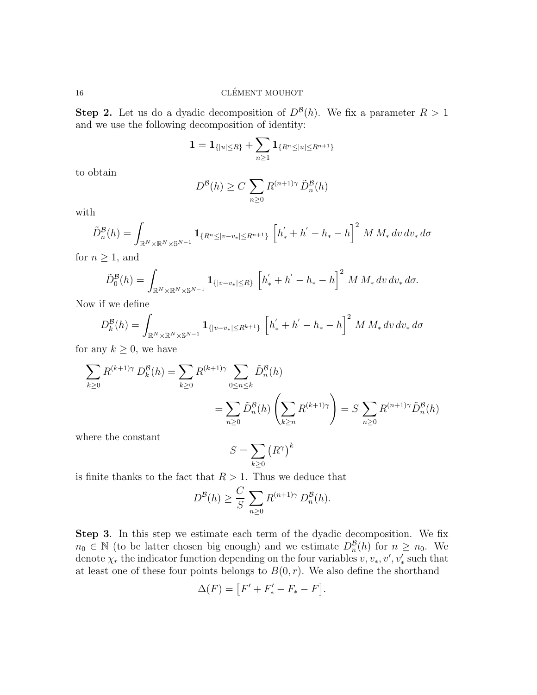## $\begin{array}{lll} \text{CLÉMENT MOUHOT} \end{array}$

**Step 2.** Let us do a dyadic decomposition of  $D^{B}(h)$ . We fix a parameter  $R > 1$ and we use the following decomposition of identity:

$$
1 = \mathbf{1}_{\{|u| \leq R\}} + \sum_{n \geq 1} \mathbf{1}_{\{R^n \leq |u| \leq R^{n+1}\}}
$$

to obtain

$$
D^{\mathcal{B}}(h) \ge C \sum_{n\ge 0} R^{(n+1)\gamma} \tilde{D}_n^{\mathcal{B}}(h)
$$

with

$$
\tilde{D}_n^{\mathcal{B}}(h) = \int_{\mathbb{R}^N \times \mathbb{R}^N \times \mathbb{S}^{N-1}} \mathbf{1}_{\{R^n \le |v-v_*| \le R^{n+1}\}} \left[h'_* + h' - h_* - h\right]^2 M M_* \, dv \, dv_* \, d\sigma
$$

for  $n \geq 1$ , and

$$
\tilde{D}_0^{\mathcal{B}}(h) = \int_{\mathbb{R}^N \times \mathbb{R}^N \times \mathbb{S}^{N-1}} \mathbf{1}_{\{|v-v_{*}| \le R\}} \left[h^{'}_{*} + h^{'} - h_{*} - h\right]^2 M M_{*} dv dv_{*} d\sigma.
$$

Now if we define

$$
D_k^{\mathcal{B}}(h) = \int_{\mathbb{R}^N \times \mathbb{R}^N \times \mathbb{S}^{N-1}} \mathbf{1}_{\{|v-v_*| \le R^{k+1}\}} \left[h'_* + h' - h_* - h\right]^2 M M_* \, dv \, dv_* \, d\sigma
$$

for any  $k \geq 0$ , we have

$$
\sum_{k\geq 0} R^{(k+1)\gamma} D_k^{\mathcal{B}}(h) = \sum_{k\geq 0} R^{(k+1)\gamma} \sum_{0\leq n\leq k} \tilde{D}_n^{\mathcal{B}}(h)
$$
  
= 
$$
\sum_{n\geq 0} \tilde{D}_n^{\mathcal{B}}(h) \left( \sum_{k\geq n} R^{(k+1)\gamma} \right) = S \sum_{n\geq 0} R^{(n+1)\gamma} \tilde{D}_n^{\mathcal{B}}(h)
$$

where the constant

$$
S=\sum_{k\geq 0} \left(R^{\gamma}\right)^k
$$

is finite thanks to the fact that  $R > 1$ . Thus we deduce that

$$
D^{\mathcal{B}}(h) \geq \frac{C}{S} \sum_{n \geq 0} R^{(n+1)\gamma} D_n^{\mathcal{B}}(h).
$$

Step 3. In this step we estimate each term of the dyadic decomposition. We fix  $n_0 \in \mathbb{N}$  (to be latter chosen big enough) and we estimate  $D_n^{\mathcal{B}}(h)$  for  $n \geq n_0$ . We denote  $\chi_r$  the indicator function depending on the four variables  $v, v_*, v', v'_*$  such that at least one of these four points belongs to  $B(0, r)$ . We also define the shorthand

$$
\Delta(F) = [F' + F'_* - F_* - F].
$$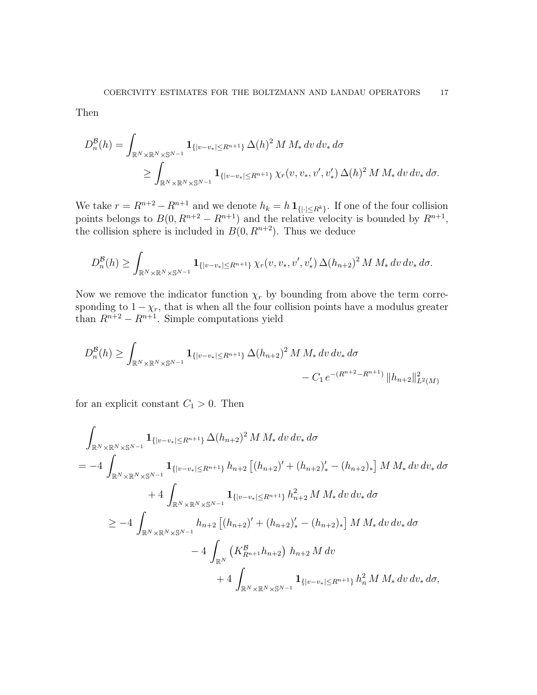Then

$$
D_n^{\mathcal{B}}(h) = \int_{\mathbb{R}^N \times \mathbb{R}^N \times \mathbb{S}^{N-1}} \mathbf{1}_{\{|v-v_{*}| \le R^{n+1}\}} \Delta(h)^2 M M_* dv dv_* d\sigma
$$
  
\$\ge \int\_{\mathbb{R}^N \times \mathbb{R}^N \times \mathbb{S}^{N-1}} \mathbf{1}\_{\{|v-v\_{\*}| \le R^{n+1}\}} \chi\_r(v, v\_\*, v', v'\_\*) \Delta(h)^2 M M\_\* dv dv\_\* d\sigma.\$

We take  $r = R^{n+2} - R^{n+1}$  and we denote  $h_k = h \mathbf{1}_{\{| \cdot | \le R^k\}}$ . If one of the four collision points belongs to  $B(0, R^{n+2} - R^{n+1})$  and the relative velocity is bounded by  $R^{n+1}$ , the collision sphere is included in  $B(0, R^{n+2})$ . Thus we deduce

$$
D_n^{\mathcal{B}}(h) \ge \int_{\mathbb{R}^N \times \mathbb{R}^N \times \mathbb{S}^{N-1}} \mathbf{1}_{\{|v-v_{*}| \le R^{n+1}\}} \chi_r(v, v_*, v', v'_*) \, \Delta(h_{n+2})^2 \, M \, M_* \, dv \, dv_* \, d\sigma.
$$

Now we remove the indicator function  $\chi_r$  by bounding from above the term corresponding to  $1 - \chi_r$ , that is when all the four collision points have a modulus greater than  $R^{n+2} - R^{n+1}$ . Simple computations yield

$$
D_n^{\mathcal{B}}(h) \ge \int_{\mathbb{R}^N \times \mathbb{R}^N \times \mathbb{S}^{N-1}} \mathbf{1}_{\{|v-v_{*}| \le R^{n+1}\}} \Delta(h_{n+2})^2 M M_{*} dv dv_{*} d\sigma - C_1 e^{-(R^{n+2} - R^{n+1})} ||h_{n+2}||_{L^2(M)}^2
$$

for an explicit constant  $C_1 > 0$ . Then

$$
\int_{\mathbb{R}^{N} \times \mathbb{R}^{N} \times \mathbb{S}^{N-1}} \mathbf{1}_{\{|v-v_{*}| \leq R^{n+1}\}} \Delta(h_{n+2})^{2} M M_{*} dv dv_{*} d\sigma
$$
\n
$$
= -4 \int_{\mathbb{R}^{N} \times \mathbb{R}^{N} \times \mathbb{S}^{N-1}} \mathbf{1}_{\{|v-v_{*}| \leq R^{n+1}\}} h_{n+2} [(h_{n+2})' + (h_{n+2})'_{*} - (h_{n+2})_{*}] M M_{*} dv dv_{*} d\sigma
$$
\n
$$
+ 4 \int_{\mathbb{R}^{N} \times \mathbb{R}^{N} \times \mathbb{S}^{N-1}} \mathbf{1}_{\{|v-v_{*}| \leq R^{n+1}\}} h_{n+2}^{2} M M_{*} dv dv_{*} d\sigma
$$
\n
$$
\geq -4 \int_{\mathbb{R}^{N} \times \mathbb{R}^{N} \times \mathbb{S}^{N-1}} h_{n+2} [(h_{n+2})' + (h_{n+2})'_{*} - (h_{n+2})_{*}] M M_{*} dv dv_{*} d\sigma
$$
\n
$$
-4 \int_{\mathbb{R}^{N}} (K_{R^{n+1}}^{B} h_{n+2}) h_{n+2} M dv
$$
\n
$$
+4 \int_{\mathbb{R}^{N} \times \mathbb{R}^{N} \times \mathbb{S}^{N-1}} \mathbf{1}_{\{|v-v_{*}| \leq R^{n+1}\}} h_{n}^{2} M M_{*} dv dv_{*} d\sigma,
$$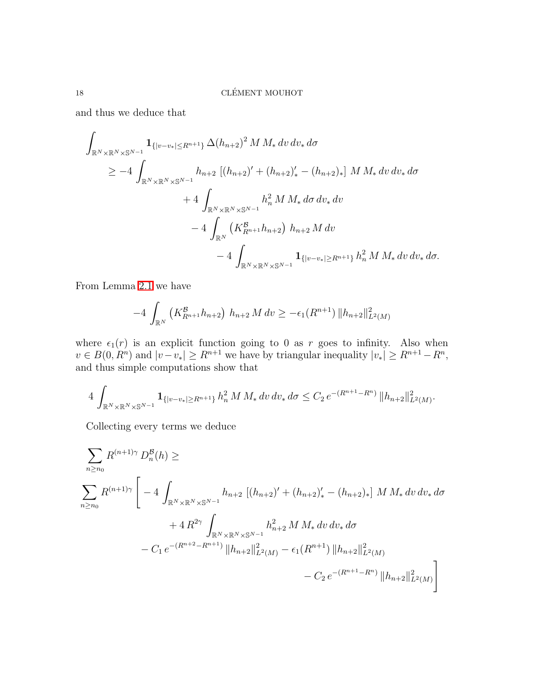and thus we deduce that

$$
\int_{\mathbb{R}^N \times \mathbb{R}^N \times \mathbb{S}^{N-1}} \mathbf{1}_{\{|v-v_{*}| \le R^{n+1}\}} \Delta(h_{n+2})^2 M M_{*} dv dv_{*} d\sigma
$$
\n
$$
\ge -4 \int_{\mathbb{R}^N \times \mathbb{R}^N \times \mathbb{S}^{N-1}} h_{n+2} [(h_{n+2})' + (h_{n+2})'_{*} - (h_{n+2})_{*}] M M_{*} dv dv_{*} d\sigma
$$
\n
$$
+4 \int_{\mathbb{R}^N \times \mathbb{R}^N \times \mathbb{S}^{N-1}} h_{n}^2 M M_{*} d\sigma dv_{*} dv
$$
\n
$$
-4 \int_{\mathbb{R}^N} (K_{R^{n+1}}^{\mathcal{B}} h_{n+2}) h_{n+2} M dv
$$
\n
$$
-4 \int_{\mathbb{R}^N \times \mathbb{R}^N \times \mathbb{S}^{N-1}} \mathbf{1}_{\{|v-v_{*}| \ge R^{n+1}\}} h_{n}^2 M M_{*} dv dv_{*} d\sigma.
$$

From Lemma [2.1](#page-12-0) we have

$$
-4\int_{\mathbb{R}^N} \left( K^{\mathcal{B}}_{R^{n+1}} h_{n+2} \right) h_{n+2} M dv \geq -\epsilon_1(R^{n+1}) \|h_{n+2}\|_{L^2(M)}^2
$$

where  $\epsilon_1(r)$  is an explicit function going to 0 as r goes to infinity. Also when  $v \in B(0, R^n)$  and  $|v-v_*| \geq R^{n+1}$  we have by triangular inequality  $|v_*| \geq R^{n+1} - R^n$ , and thus simple computations show that

$$
4\int_{\mathbb{R}^N\times\mathbb{R}^N\times\mathbb{S}^{N-1}}\mathbf{1}_{\{|v-v_{*}|\geq R^{n+1}\}}\,h_n^2\,M\,M_*\,dv\,dv_*\,d\sigma\leq C_2\,e^{-(R^{n+1}-R^n)}\,\|h_{n+2}\|_{L^2(M)}^2.
$$

Collecting every terms we deduce

$$
\sum_{n\geq n_0} R^{(n+1)\gamma} D_n^{\beta}(h) \geq
$$
\n
$$
\sum_{n\geq n_0} R^{(n+1)\gamma} \left[ -4 \int_{\mathbb{R}^N \times \mathbb{R}^N \times \mathbb{S}^{N-1}} h_{n+2} \left[ (h_{n+2})' + (h_{n+2})'_{*} - (h_{n+2})_{*} \right] M M_{*} dv dv_{*} d\sigma + 4 R^{2\gamma} \int_{\mathbb{R}^N \times \mathbb{R}^N \times \mathbb{S}^{N-1}} h_{n+2}^2 M M_{*} dv dv_{*} d\sigma - C_1 e^{-(R^{n+2} - R^{n+1})} \|h_{n+2}\|_{L^2(M)}^2 - \epsilon_1 (R^{n+1}) \|h_{n+2}\|_{L^2(M)}^2 - C_2 e^{-(R^{n+1} - R^n)} \|h_{n+2}\|_{L^2(M)}^2 \right]
$$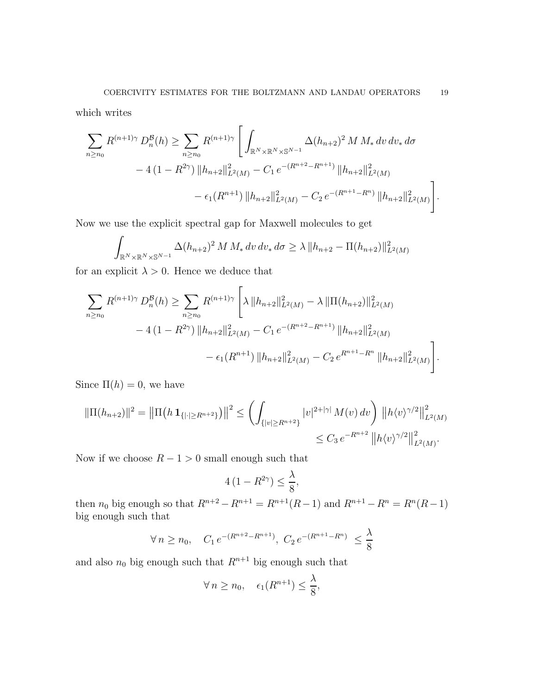which writes

$$
\sum_{n\geq n_0} R^{(n+1)\gamma} D_n^{\mathcal{B}}(h) \geq \sum_{n\geq n_0} R^{(n+1)\gamma} \left[ \int_{\mathbb{R}^N \times \mathbb{R}^N \times \mathbb{S}^{N-1}} \Delta(h_{n+2})^2 M M_* dv dv_* d\sigma \right. \\ \left. - 4 (1 - R^{2\gamma}) \|h_{n+2}\|_{L^2(M)}^2 - C_1 e^{-(R^{n+2} - R^{n+1})} \|h_{n+2}\|_{L^2(M)}^2 - \epsilon_1 (R^{n+1}) \|h_{n+2}\|_{L^2(M)}^2 - C_2 e^{-(R^{n+1} - R^n)} \|h_{n+2}\|_{L^2(M)}^2 \right].
$$

Now we use the explicit spectral gap for Maxwell molecules to get

$$
\int_{\mathbb{R}^N \times \mathbb{R}^N \times \mathbb{S}^{N-1}} \Delta(h_{n+2})^2 M M_* dv dv_* d\sigma \ge \lambda \|h_{n+2} - \Pi(h_{n+2})\|_{L^2(M)}^2
$$

for an explicit  $\lambda > 0$ . Hence we deduce that

$$
\sum_{n\geq n_0} R^{(n+1)\gamma} D_n^{\mathcal{B}}(h) \geq \sum_{n\geq n_0} R^{(n+1)\gamma} \left[ \lambda \left\| h_{n+2} \right\|_{L^2(M)}^2 - \lambda \left\| \Pi(h_{n+2}) \right\|_{L^2(M)}^2 \right.- 4 \left( 1 - R^{2\gamma} \right) \left\| h_{n+2} \right\|_{L^2(M)}^2 - C_1 e^{-(R^{n+2} - R^{n+1})} \left\| h_{n+2} \right\|_{L^2(M)}^2 - \epsilon_1 (R^{n+1}) \left\| h_{n+2} \right\|_{L^2(M)}^2 - C_2 e^{R^{n+1} - R^n} \left\| h_{n+2} \right\|_{L^2(M)}^2 \right].
$$

Since  $\Pi(h) = 0$ , we have

$$
\|\Pi(h_{n+2})\|^2 = \left\|\Pi\left(h\,\mathbf{1}_{\{|{\cdot}|\geq R^{n+2}\}}\right)\right\|^2 \leq \left(\int_{\{|v|\geq R^{n+2}\}} |v|^{2+|\gamma|} M(v) \, dv\right) \left\|h\langle v\rangle^{\gamma/2}\right\|_{L^2(M)}^2
$$
  

$$
\leq C_3 \, e^{-R^{n+2}} \left\|h\langle v\rangle^{\gamma/2}\right\|_{L^2(M)}^2.
$$

Now if we choose  $R - 1 > 0$  small enough such that

$$
4(1 - R^{2\gamma}) \le \frac{\lambda}{8},
$$

then  $n_0$  big enough so that  $R^{n+2} - R^{n+1} = R^{n+1}(R-1)$  and  $R^{n+1} - R^n = R^n(R-1)$ big enough such that

$$
\forall n \ge n_0, \quad C_1 \, e^{-(R^{n+2} - R^{n+1})}, \ C_2 \, e^{-(R^{n+1} - R^n)} \le \frac{\lambda}{8}
$$

and also  $n_0$  big enough such that  $\mathbb{R}^{n+1}$  big enough such that

$$
\forall n \ge n_0, \quad \epsilon_1(R^{n+1}) \le \frac{\lambda}{8},
$$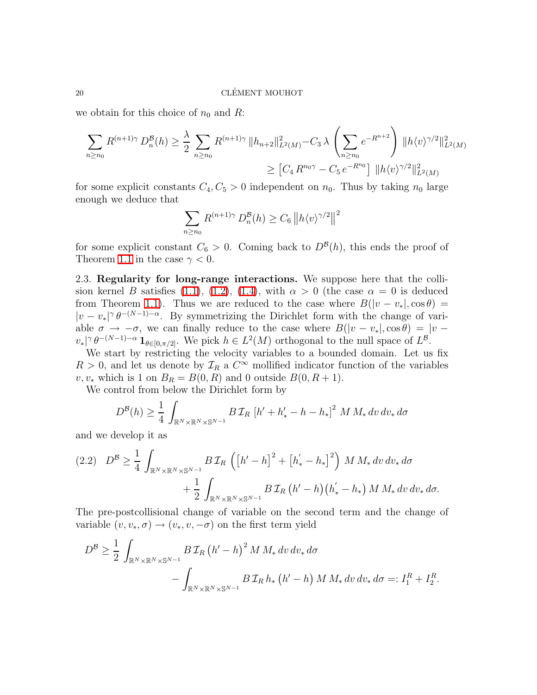we obtain for this choice of  $n_0$  and R:

$$
\sum_{n\geq n_0} R^{(n+1)\gamma} D_n^{\mathcal{B}}(h) \geq \frac{\lambda}{2} \sum_{n\geq n_0} R^{(n+1)\gamma} \|h_{n+2}\|_{L^2(M)}^2 - C_3 \lambda \left(\sum_{n\geq n_0} e^{-R^{n+2}}\right) \|h\langle v\rangle^{\gamma/2}\|_{L^2(M)}^2
$$

$$
\geq [C_4 R^{n_0\gamma} - C_5 e^{-R^{n_0}}] \|h\langle v\rangle^{\gamma/2}\|_{L^2(M)}^2
$$

for some explicit constants  $C_4, C_5 > 0$  independent on  $n_0$ . Thus by taking  $n_0$  large enough we deduce that

$$
\sum_{n\geq n_0} R^{(n+1)\gamma} D_n^{\mathcal{B}}(h) \geq C_6 \left\| h \langle v \rangle^{\gamma/2} \right\|^2
$$

for some explicit constant  $C_6 > 0$ . Coming back to  $D^{\mathcal{B}}(h)$ , this ends the proof of Theorem [1.1](#page-7-2) in the case  $\gamma < 0$ .

<span id="page-19-0"></span>2.3. Regularity for long-range interactions. We suppose here that the colli-sion kernel B satisfies [\(1.1\)](#page-4-2), [\(1.2\)](#page-4-3), [\(1.4\)](#page-4-0), with  $\alpha > 0$  (the case  $\alpha = 0$  is deduced from Theorem [1.1\)](#page-7-2). Thus we are reduced to the case where  $B(|v - v_*|, \cos \theta) =$  $|v - v_*|^\gamma \theta^{-(N-1)-\alpha}$ . By symmetrizing the Dirichlet form with the change of variable  $\sigma \to -\sigma$ , we can finally reduce to the case where  $B(|v - v_*|, \cos \theta) = |v - v_*|$  $v_*\vert^{\gamma} \theta^{-(N-1)-\alpha} \mathbf{1}_{\theta \in [0,\pi/2]}$ . We pick  $h \in L^2(M)$  orthogonal to the null space of  $L^{\mathcal{B}}$ .

We start by restricting the velocity variables to a bounded domain. Let us fix  $R > 0$ , and let us denote by  $\mathcal{I}_R$  a  $C^{\infty}$  mollified indicator function of the variables  $v, v_*$  which is 1 on  $B_R = B(0, R)$  and 0 outside  $B(0, R+1)$ .

We control from below the Dirichlet form by

$$
D^{\mathcal{B}}(h) \geq \frac{1}{4} \int_{\mathbb{R}^N \times \mathbb{R}^N \times \mathbb{S}^{N-1}} B \mathcal{I}_R \left[ h' + h'_* - h - h_* \right]^2 M M_* dv dv_* d\sigma
$$

and we develop it as

$$
(2.2) \quad D^{\mathcal{B}} \geq \frac{1}{4} \int_{\mathbb{R}^N \times \mathbb{R}^N \times \mathbb{S}^{N-1}} B \mathcal{I}_R \left( \left[ h' - h \right]^2 + \left[ h'_* - h_* \right]^2 \right) M M_* dv dv_* d\sigma + \frac{1}{2} \int_{\mathbb{R}^N \times \mathbb{R}^N \times \mathbb{S}^{N-1}} B \mathcal{I}_R \left( h' - h \right) \left( h'_* - h_* \right) M M_* dv dv_* d\sigma.
$$

The pre-postcollisional change of variable on the second term and the change of variable  $(v, v_*, \sigma) \rightarrow (v_*, v, -\sigma)$  on the first term yield

$$
D^{\mathcal{B}} \geq \frac{1}{2} \int_{\mathbb{R}^N \times \mathbb{R}^N \times \mathbb{S}^{N-1}} B \mathcal{I}_R (h' - h)^2 M M_* dv dv_* d\sigma
$$
  
- 
$$
\int_{\mathbb{R}^N \times \mathbb{R}^N \times \mathbb{S}^{N-1}} B \mathcal{I}_R h_* (h' - h) M M_* dv dv_* d\sigma =: I_1^R + I_2^R.
$$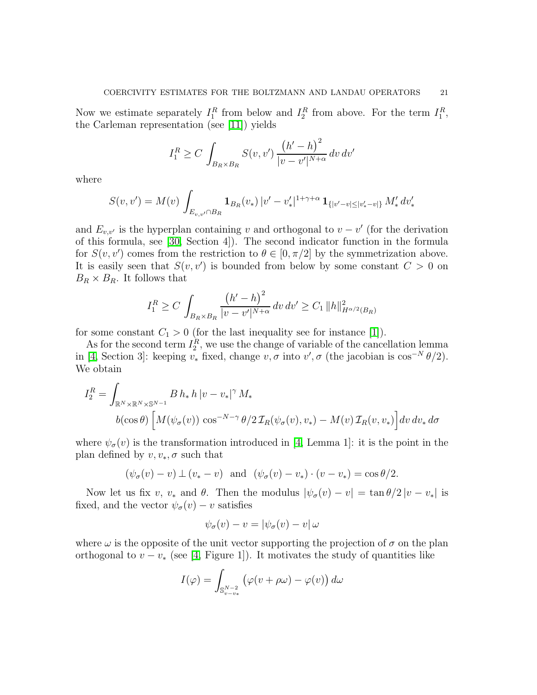Now we estimate separately  $I_1^R$  from below and  $I_2^R$  from above. For the term  $I_1^R$ , the Carleman representation (see [\[11\]](#page-30-19)) yields

$$
I_1^R \ge C \int_{B_R \times B_R} S(v, v') \frac{\left(h' - h\right)^2}{|v - v'|^{N + \alpha}} dv dv'
$$

where

$$
S(v, v') = M(v) \int_{E_{v,v'} \cap B_R} \mathbf{1}_{B_R}(v_*) |v' - v'_*|^{1+\gamma+\alpha} \mathbf{1}_{\{|v'-v| \le |v'_* - v|\}} M'_* dv'_*
$$

and  $E_{v,v'}$  is the hyperplan containing v and orthogonal to  $v - v'$  (for the derivation of this formula, see [\[30,](#page-31-7) Section 4]). The second indicator function in the formula for  $S(v, v')$  comes from the restriction to  $\theta \in [0, \pi/2]$  by the symmetrization above. It is easily seen that  $S(v, v')$  is bounded from below by some constant  $C > 0$  on  $B_R \times B_R$ . It follows that

$$
I_1^R \ge C \int_{B_R \times B_R} \frac{(h'-h)^2}{|v-v'|^{N+\alpha}} \, dv \, dv' \ge C_1 \, ||h||^2_{H^{\alpha/2}(B_R)}
$$

for some constant  $C_1 > 0$  (for the last inequality see for instance [\[1\]](#page-29-3)).

As for the second term  $I_2^R$ , we use the change of variable of the cancellation lemma in [\[4,](#page-30-9) Section 3]: keeping  $v_*$  fixed, change  $v, \sigma$  into  $v', \sigma$  (the jacobian is  $\cos^{-N} \theta/2$ ). We obtain

$$
I_2^R = \int_{\mathbb{R}^N \times \mathbb{R}^N \times \mathbb{S}^{N-1}} B h_* h \left| v - v_* \right|^\gamma M_*
$$
  

$$
b(\cos \theta) \left[ M(\psi_\sigma(v)) \cos^{-N-\gamma} \theta / 2 \mathcal{I}_R(\psi_\sigma(v), v_*) - M(v) \mathcal{I}_R(v, v_*) \right] dv dv_* d\sigma
$$

where  $\psi_{\sigma}(v)$  is the transformation introduced in [\[4,](#page-30-9) Lemma 1]: it is the point in the plan defined by  $v, v_*, \sigma$  such that

$$
(\psi_{\sigma}(v) - v) \perp (v_{*} - v) \quad \text{and} \quad (\psi_{\sigma}(v) - v_{*}) \cdot (v - v_{*}) = \cos \theta/2.
$$

Now let us fix v,  $v_*$  and  $\theta$ . Then the modulus  $|\psi_{\sigma}(v) - v| = \tan \theta/2 |v - v_*|$  is fixed, and the vector  $\psi_{\sigma}(v) - v$  satisfies

$$
\psi_{\sigma}(v) - v = |\psi_{\sigma}(v) - v| \omega
$$

where  $\omega$  is the opposite of the unit vector supporting the projection of  $\sigma$  on the plan orthogonal to  $v - v_*$  (see [\[4,](#page-30-9) Figure 1]). It motivates the study of quantities like

$$
I(\varphi) = \int_{\mathbb{S}_{v-v_*}^{N-2}} \left( \varphi(v + \rho \omega) - \varphi(v) \right) d\omega
$$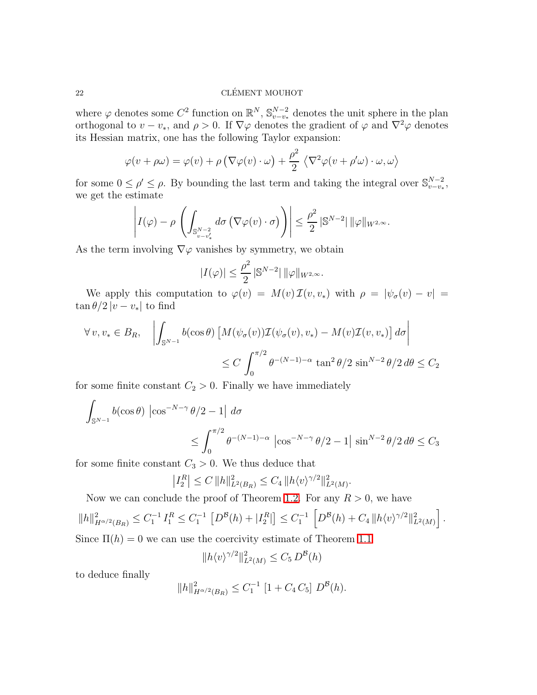# $\begin{array}{lll} \text{CLÉMENT MOUHOT} \end{array}$

where  $\varphi$  denotes some  $C^2$  function on  $\mathbb{R}^N$ ,  $\mathbb{S}_{v-v_*}^{N-2}$  denotes the unit sphere in the plan orthogonal to  $v - v_*$ , and  $\rho > 0$ . If  $\nabla \varphi$  denotes the gradient of  $\varphi$  and  $\nabla^2 \varphi$  denotes its Hessian matrix, one has the following Taylor expansion:

$$
\varphi(v + \rho \omega) = \varphi(v) + \rho \left( \nabla \varphi(v) \cdot \omega \right) + \frac{\rho^2}{2} \left\langle \nabla^2 \varphi(v + \rho' \omega) \cdot \omega, \omega \right\rangle
$$

for some  $0 \leq \rho' \leq \rho$ . By bounding the last term and taking the integral over  $\mathbb{S}_{v-v_*}^{N-2}$ , we get the estimate

$$
\left| I(\varphi) - \rho \left( \int_{\mathbb{S}_{v-v'_*}^{N-2}} d\sigma \left( \nabla \varphi(v) \cdot \sigma \right) \right) \right| \leq \frac{\rho^2}{2} \left| \mathbb{S}^{N-2} \right| ||\varphi||_{W^{2,\infty}}.
$$

As the term involving  $\nabla\varphi$  vanishes by symmetry, we obtain

$$
|I(\varphi)| \leq \frac{\rho^2}{2} \left| \mathbb{S}^{N-2} \right| ||\varphi||_{W^{2,\infty}}.
$$

We apply this computation to  $\varphi(v) = M(v) \mathcal{I}(v, v_*)$  with  $\rho = |\psi_{\sigma}(v) - v|$  $\tan \theta/2 |v - v_*|$  to find

$$
\forall v, v_* \in B_R, \quad \left| \int_{\mathbb{S}^{N-1}} b(\cos \theta) \left[ M(\psi_\sigma(v)) \mathcal{I}(\psi_\sigma(v), v_*) - M(v) \mathcal{I}(v, v_*) \right] d\sigma \right|
$$
  

$$
\leq C \int_0^{\pi/2} \theta^{-(N-1)-\alpha} \tan^2 \theta / 2 \sin^{N-2} \theta / 2 d\theta \leq C_2
$$

for some finite constant  $C_2 > 0$ . Finally we have immediately

$$
\int_{\mathbb{S}^{N-1}} b(\cos \theta) \left| \cos^{-N-\gamma} \theta/2 - 1 \right| d\sigma
$$
  

$$
\leq \int_0^{\pi/2} \theta^{-(N-1)-\alpha} \left| \cos^{-N-\gamma} \theta/2 - 1 \right| \sin^{N-2} \theta/2 d\theta \leq C_3
$$

for some finite constant  $C_3 > 0$ . We thus deduce that

$$
\left|I_2^R\right| \le C \, \|h\|_{L^2(B_R)}^2 \le C_4 \, \|h\langle v\rangle^{\gamma/2}\|_{L^2(M)}^2.
$$

Now we can conclude the proof of Theorem [1.2.](#page-7-1) For any  $R > 0$ , we have

$$
||h||_{H^{\alpha/2}(B_R)}^2 \leq C_1^{-1} I_1^R \leq C_1^{-1} \left[ D^{\mathcal{B}}(h) + |I_2^R| \right] \leq C_1^{-1} \left[ D^{\mathcal{B}}(h) + C_4 \, ||h \langle v \rangle^{\gamma/2}||_{L^2(M)}^2 \right].
$$

Since  $\Pi(h) = 0$  we can use the coercivity estimate of Theorem [1.1](#page-7-2)

$$
||h\langle v\rangle^{\gamma/2}||_{L^2(M)}^2 \le C_5 D^{\mathcal{B}}(h)
$$

to deduce finally

$$
||h||_{H^{\alpha/2}(B_R)}^2 \leq C_1^{-1} [1 + C_4 C_5] D^{\mathcal{B}}(h).
$$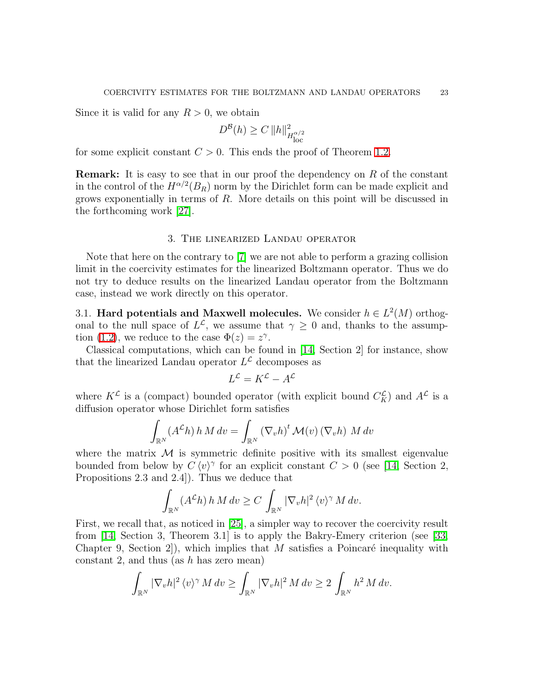Since it is valid for any  $R > 0$ , we obtain

$$
D^{\mathcal{B}}(h) \ge C \, \|h\|_{H_{\text{loc}}^{\alpha/2}}^2
$$

for some explicit constant  $C > 0$ . This ends the proof of Theorem [1.2.](#page-7-1)

Remark: It is easy to see that in our proof the dependency on R of the constant in the control of the  $H^{\alpha/2}(B_R)$  norm by the Dirichlet form can be made explicit and grows exponentially in terms of R. More details on this point will be discussed in the forthcoming work [\[27\]](#page-31-5).

### 3. The linearized Landau operator

<span id="page-22-0"></span>Note that here on the contrary to [\[7\]](#page-30-8) we are not able to perform a grazing collision limit in the coercivity estimates for the linearized Boltzmann operator. Thus we do not try to deduce results on the linearized Landau operator from the Boltzmann case, instead we work directly on this operator.

3.1. Hard potentials and Maxwell molecules. We consider  $h \in L^2(M)$  orthogonal to the null space of  $L^{\mathcal{L}}$ , we assume that  $\gamma \geq 0$  and, thanks to the assump-tion [\(1.2\)](#page-4-3), we reduce to the case  $\Phi(z) = z^{\gamma}$ .

Classical computations, which can be found in [\[14,](#page-30-20) Section 2] for instance, show that the linearized Landau operator  $L^{\mathcal{L}}$  decomposes as

$$
L^{\mathcal{L}} = K^{\mathcal{L}} - A^{\mathcal{L}}
$$

where  $K^{\mathcal{L}}$  is a (compact) bounded operator (with explicit bound  $C_K^{\mathcal{L}}$ ) and  $A^{\mathcal{L}}$  is a diffusion operator whose Dirichlet form satisfies

$$
\int_{\mathbb{R}^N} (A^{\mathcal{L}} h) h M dv = \int_{\mathbb{R}^N} (\nabla_v h)^t \mathcal{M}(v) (\nabla_v h) M dv
$$

where the matrix  $\mathcal M$  is symmetric definite positive with its smallest eigenvalue bounded from below by  $C \langle v \rangle^{\gamma}$  for an explicit constant  $C > 0$  (see [\[14,](#page-30-20) Section 2, Propositions 2.3 and 2.4]). Thus we deduce that

$$
\int_{\mathbb{R}^N} (A^{\mathcal{L}} h) h M dv \ge C \int_{\mathbb{R}^N} |\nabla_v h|^2 \langle v \rangle^{\gamma} M dv.
$$

First, we recall that, as noticed in [\[25\]](#page-30-21), a simpler way to recover the coercivity result from [\[14,](#page-30-20) Section 3, Theorem 3.1] is to apply the Bakry-Emery criterion (see [\[33,](#page-31-8) Chapter 9, Section 2. which implies that M satisfies a Poincaré inequality with constant 2, and thus (as  $h$  has zero mean)

$$
\int_{\mathbb{R}^N} |\nabla_v h|^2 \langle v \rangle^{\gamma} M dv \ge \int_{\mathbb{R}^N} |\nabla_v h|^2 M dv \ge 2 \int_{\mathbb{R}^N} h^2 M dv.
$$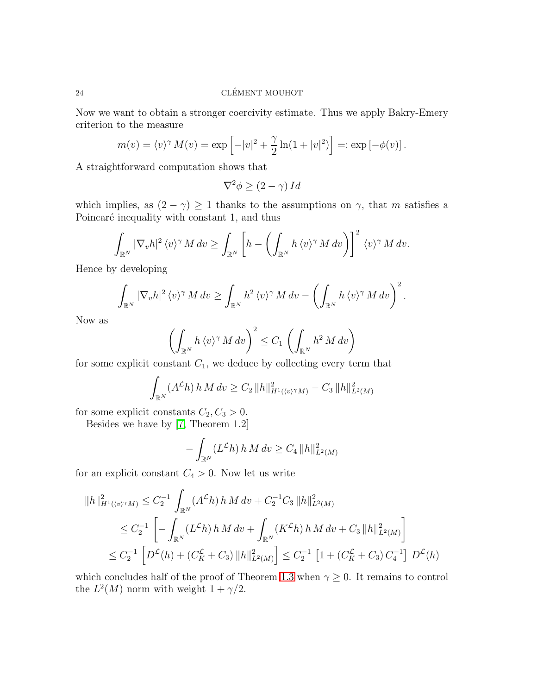Now we want to obtain a stronger coercivity estimate. Thus we apply Bakry-Emery criterion to the measure

$$
m(v) = \langle v \rangle^{\gamma} M(v) = \exp \left[ -|v|^2 + \frac{\gamma}{2} \ln(1+|v|^2) \right] =: \exp \left[ -\phi(v) \right].
$$

A straightforward computation shows that

$$
\nabla^2 \phi \ge (2 - \gamma) \, I \, d
$$

which implies, as  $(2 - \gamma) \ge 1$  thanks to the assumptions on  $\gamma$ , that m satisfies a Poincaré inequality with constant 1, and thus

$$
\int_{\mathbb{R}^N} |\nabla_v h|^2 \langle v \rangle^{\gamma} M dv \ge \int_{\mathbb{R}^N} \left[ h - \left( \int_{\mathbb{R}^N} h \langle v \rangle^{\gamma} M dv \right) \right]^2 \langle v \rangle^{\gamma} M dv.
$$

Hence by developing

$$
\int_{\mathbb{R}^N} |\nabla_v h|^2 \langle v \rangle^{\gamma} M dv \ge \int_{\mathbb{R}^N} h^2 \langle v \rangle^{\gamma} M dv - \left( \int_{\mathbb{R}^N} h \langle v \rangle^{\gamma} M dv \right)^2.
$$

Now as

$$
\left(\int_{\mathbb{R}^N} h\,\langle v\rangle^\gamma \,M\,dv\right)^2 \le C_1\,\left(\int_{\mathbb{R}^N} h^2\,M\,dv\right)
$$

for some explicit constant  $C_1$ , we deduce by collecting every term that

$$
\int_{\mathbb{R}^N} (A^{\mathcal{L}} h) h M dv \ge C_2 ||h||^2_{H^1(\langle v \rangle^\gamma M)} - C_3 ||h||^2_{L^2(M)}
$$

for some explicit constants  $C_2, C_3 > 0$ .

Besides we have by [\[7,](#page-30-8) Theorem 1.2]

$$
- \int_{\mathbb{R}^N} (L^{\mathcal{L}} h) \, h \, M \, dv \ge C_4 \, ||h||^2_{L^2(M)}
$$

for an explicit constant  $C_4 > 0$ . Now let us write

$$
||h||_{H^{1}(\langle v)^{\gamma}M)}^{2} \leq C_{2}^{-1} \int_{\mathbb{R}^{N}} (A^{\mathcal{L}}h) h M dv + C_{2}^{-1} C_{3} ||h||_{L^{2}(M)}^{2}
$$
  
\n
$$
\leq C_{2}^{-1} \left[ - \int_{\mathbb{R}^{N}} (L^{\mathcal{L}}h) h M dv + \int_{\mathbb{R}^{N}} (K^{\mathcal{L}}h) h M dv + C_{3} ||h||_{L^{2}(M)}^{2} \right]
$$
  
\n
$$
\leq C_{2}^{-1} \left[ D^{\mathcal{L}}(h) + (C_{K}^{\mathcal{L}} + C_{3}) ||h||_{L^{2}(M)}^{2} \right] \leq C_{2}^{-1} \left[ 1 + (C_{K}^{\mathcal{L}} + C_{3}) C_{4}^{-1} \right] D^{\mathcal{L}}(h)
$$

which concludes half of the proof of Theorem [1.3](#page-8-0) when  $\gamma \geq 0$ . It remains to control the  $L^2(M)$  norm with weight  $1 + \gamma/2$ .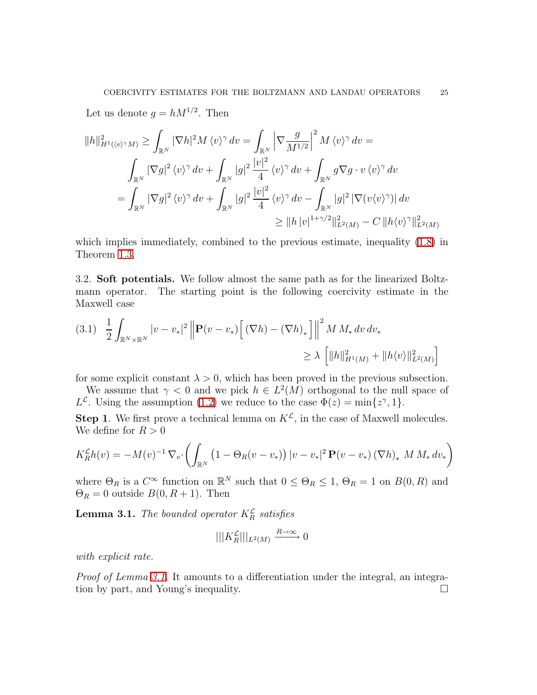Let us denote  $g = hM^{1/2}$ . Then

$$
||h||_{H^1(\langle v \rangle^\gamma M)}^2 \ge \int_{\mathbb{R}^N} |\nabla h|^2 M \langle v \rangle^\gamma dv = \int_{\mathbb{R}^N} \left| \nabla \frac{g}{M^{1/2}} \right|^2 M \langle v \rangle^\gamma dv =
$$
  

$$
\int_{\mathbb{R}^N} |\nabla g|^2 \langle v \rangle^\gamma dv + \int_{\mathbb{R}^N} |g|^2 \frac{|v|^2}{4} \langle v \rangle^\gamma dv + \int_{\mathbb{R}^N} g \nabla g \cdot v \langle v \rangle^\gamma dv
$$
  

$$
= \int_{\mathbb{R}^N} |\nabla g|^2 \langle v \rangle^\gamma dv + \int_{\mathbb{R}^N} |g|^2 \frac{|v|^2}{4} \langle v \rangle^\gamma dv - \int_{\mathbb{R}^N} |g|^2 |\nabla (v \langle v \rangle^\gamma)| dv
$$
  

$$
\ge ||h| v|^{1 + \gamma/2} ||_{L^2(M)}^2 - C ||h \langle v \rangle^\gamma ||_{L^2(M)}^2
$$

which implies immediately, combined to the previous estimate, inequality [\(1.8\)](#page-9-1) in Theorem [1.3.](#page-8-0)

3.2. Soft potentials. We follow almost the same path as for the linearized Boltzmann operator. The starting point is the following coercivity estimate in the Maxwell case

<span id="page-24-1"></span>
$$
(3.1) \quad \frac{1}{2} \int_{\mathbb{R}^N \times \mathbb{R}^N} |v - v_*|^2 \left\| \mathbf{P}(v - v_*) \left[ (\nabla h) - (\nabla h)_* \right] \right\|^2 M M_* \, dv \, dv_*
$$
  

$$
\geq \lambda \left[ \|h\|_{H^1(M)}^2 + \|h \langle v \rangle\|_{L^2(M)}^2 \right]
$$

for some explicit constant  $\lambda > 0$ , which has been proved in the previous subsection.

We assume that  $\gamma < 0$  and we pick  $h \in L^2(M)$  orthogonal to the null space of  $L^{\mathcal{L}}$ . Using the assumption [\(1.2\)](#page-4-3) we reduce to the case  $\Phi(z) = \min\{z^{\gamma}, 1\}$ .

**Step 1.** We first prove a technical lemma on  $K^{\mathcal{L}}$ , in the case of Maxwell molecules. We define for  $R > 0$ 

$$
K_R^{\mathcal{L}} h(v) = -M(v)^{-1} \nabla_v \cdot \left( \int_{\mathbb{R}^N} \left( 1 - \Theta_R(v - v_*) \right) |v - v_*|^2 \mathbf{P}(v - v_*) \left( \nabla h \right)_* M M_* dv_* \right)
$$

<span id="page-24-0"></span>where  $\Theta_R$  is a  $C^{\infty}$  function on  $\mathbb{R}^N$  such that  $0 \le \Theta_R \le 1$ ,  $\Theta_R = 1$  on  $B(0, R)$  and  $\Theta_R = 0$  outside  $B(0, R+1)$ . Then

**Lemma 3.1.** The bounded operator  $K_R^{\mathcal{L}}$  satisfies

$$
|||K_R^{\mathcal{L}}|||_{L^2(M)} \xrightarrow{R \to \infty} 0
$$

with explicit rate.

Proof of Lemma [3.1.](#page-24-0) It amounts to a differentiation under the integral, an integration by part, and Young's inequality.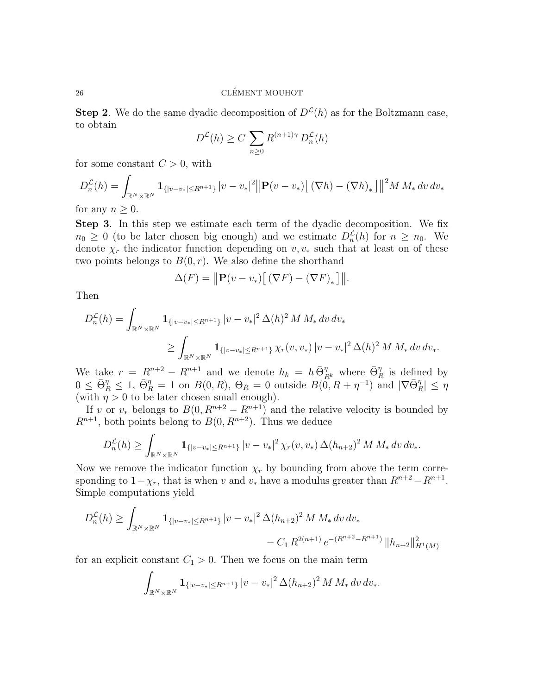**Step 2.** We do the same dyadic decomposition of  $D^{\mathcal{L}}(h)$  as for the Boltzmann case, to obtain

$$
D^{\mathcal{L}}(h) \ge C \sum_{n \ge 0} R^{(n+1)\gamma} D_n^{\mathcal{L}}(h)
$$

for some constant  $C > 0$ , with

$$
D_n^{\mathcal{L}}(h) = \int_{\mathbb{R}^N \times \mathbb{R}^N} \mathbf{1}_{\{|v - v_*| \le R^{n+1}\}} |v - v_*|^2 ||\mathbf{P}(v - v_*) \big[ (\nabla h) - (\nabla h)_* \big] ||^2 M M_* \, dv \, dv_*
$$

for any  $n \geq 0$ .

Step 3. In this step we estimate each term of the dyadic decomposition. We fix  $n_0 \geq 0$  (to be later chosen big enough) and we estimate  $D_n^{\mathcal{L}}(h)$  for  $n \geq n_0$ . We denote  $\chi_r$  the indicator function depending on  $v, v_*$  such that at least on of these two points belongs to  $B(0, r)$ . We also define the shorthand

$$
\Delta(F) = ||\mathbf{P}(v - v_*)\big[ (\nabla F) - (\nabla F)_* \big]||.
$$

Then

$$
D_n^{\mathcal{L}}(h) = \int_{\mathbb{R}^N \times \mathbb{R}^N} \mathbf{1}_{\{|v - v_*| \le R^{n+1}\}} |v - v_*|^2 \Delta(h)^2 M M_* dv dv_*
$$
  

$$
\ge \int_{\mathbb{R}^N \times \mathbb{R}^N} \mathbf{1}_{\{|v - v_*| \le R^{n+1}\}} \chi_r(v, v_*) |v - v_*|^2 \Delta(h)^2 M M_* dv dv_*.
$$

We take  $r = R^{n+2} - R^{n+1}$  and we denote  $h_k = h \overline{\Theta}_{R^k}^{\eta}$  where  $\overline{\Theta}_{R}^{\eta}$  is defined by  $0 \leq \bar{\Theta}_R^{\eta} \leq 1, \ \bar{\Theta}_R^{\eta} = 1 \text{ on } B(0, R), \Theta_R = 0 \text{ outside } B(\tilde{0}, R + \eta^{-1}) \text{ and } |\nabla \bar{\Theta}_R^{\eta}| \leq \eta$ (with  $\eta > 0$  to be later chosen small enough).

If v or  $v_*$  belongs to  $B(0, R^{n+2} - R^{n+1})$  and the relative velocity is bounded by  $R^{n+1}$ , both points belong to  $B(0, R^{n+2})$ . Thus we deduce

$$
D_n^{\mathcal{L}}(h) \geq \int_{\mathbb{R}^N \times \mathbb{R}^N} \mathbf{1}_{\{|v-v_{*}| \leq R^{n+1}\}} |v-v_{*}|^2 \chi_r(v,v_{*}) \Delta(h_{n+2})^2 M M_{*} \, dv \, dv_{*}.
$$

Now we remove the indicator function  $\chi_r$  by bounding from above the term corresponding to  $1-\chi_r$ , that is when v and  $v_*$  have a modulus greater than  $R^{n+2}-R^{n+1}$ . Simple computations yield

$$
D_n^{\mathcal{L}}(h) \ge \int_{\mathbb{R}^N \times \mathbb{R}^N} \mathbf{1}_{\{|v-v_{*}| \le R^{n+1}\}} |v-v_{*}|^2 \Delta(h_{n+2})^2 M M_{*} dv dv_{*}
$$
  
-  $C_1 R^{2(n+1)} e^{-(R^{n+2} - R^{n+1})} ||h_{n+2}||_{H^1(M)}^2$ 

for an explicit constant  $C_1 > 0$ . Then we focus on the main term

$$
\int_{\mathbb{R}^N\times\mathbb{R}^N} \mathbf{1}_{\{|v-v_*|\le R^{n+1}\}} |v-v_*|^2 \, \Delta(h_{n+2})^2 \, M \, M_* \, dv \, dv_*.
$$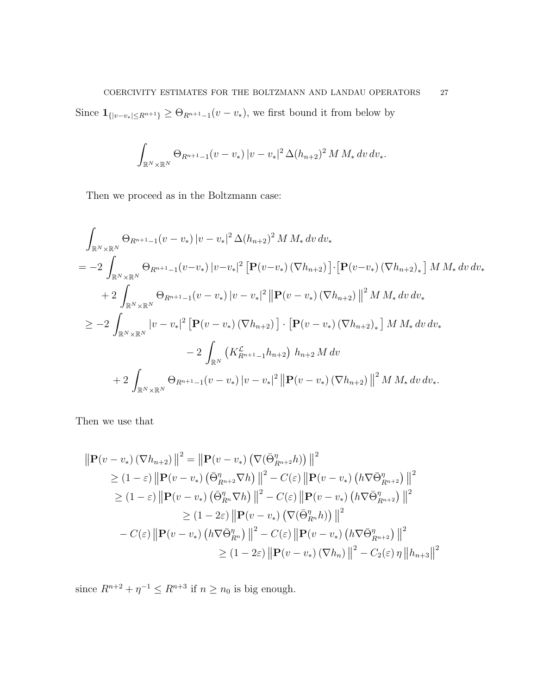Since  $\mathbf{1}_{\{|v-v_{*}| \leq R^{n+1}\}} \geq \Theta_{R^{n+1}-1}(v-v_{*}),$  we first bound it from below by

$$
\int_{\mathbb{R}^N \times \mathbb{R}^N} \Theta_{R^{n+1}-1}(v-v_*) \, |v-v_*|^2 \, \Delta(h_{n+2})^2 \, M \, M_* \, dv \, dv_*.
$$

Then we proceed as in the Boltzmann case:

$$
\int_{\mathbb{R}^{N} \times \mathbb{R}^{N}} \Theta_{R^{n+1}-1}(v-v_{*}) |v-v_{*}|^{2} \Delta(h_{n+2})^{2} M M_{*} dv dv_{*}
$$
\n
$$
= -2 \int_{\mathbb{R}^{N} \times \mathbb{R}^{N}} \Theta_{R^{n+1}-1}(v-v_{*}) |v-v_{*}|^{2} [\mathbf{P}(v-v_{*}) (\nabla h_{n+2})] \cdot [\mathbf{P}(v-v_{*}) (\nabla h_{n+2})_{*}] M M_{*} dv dv_{*}
$$
\n
$$
+ 2 \int_{\mathbb{R}^{N} \times \mathbb{R}^{N}} \Theta_{R^{n+1}-1}(v-v_{*}) |v-v_{*}|^{2} ||\mathbf{P}(v-v_{*}) (\nabla h_{n+2})||^{2} M M_{*} dv dv_{*}
$$
\n
$$
\geq -2 \int_{\mathbb{R}^{N} \times \mathbb{R}^{N}} |v-v_{*}|^{2} [\mathbf{P}(v-v_{*}) (\nabla h_{n+2})] \cdot [\mathbf{P}(v-v_{*}) (\nabla h_{n+2})_{*}] M M_{*} dv dv_{*}
$$
\n
$$
-2 \int_{\mathbb{R}^{N}} (K_{R^{n+1}-1}^{L} h_{n+2}) h_{n+2} M dv
$$
\n
$$
+2 \int_{\mathbb{R}^{N} \times \mathbb{R}^{N}} \Theta_{R^{n+1}-1}(v-v_{*}) |v-v_{*}|^{2} ||\mathbf{P}(v-v_{*}) (\nabla h_{n+2})||^{2} M M_{*} dv dv_{*}.
$$

Then we use that

$$
\|\mathbf{P}(v-v_*)(\nabla h_{n+2})\|^2 = \|\mathbf{P}(v-v_*)(\nabla(\bar{\Theta}_{R^{n+2}}^{\eta}h))\|^2
$$
  
\n
$$
\geq (1-\varepsilon) \|\mathbf{P}(v-v_*)(\bar{\Theta}_{R^{n+2}}^{\eta}\nabla h)\|^2 - C(\varepsilon) \|\mathbf{P}(v-v_*)(h\nabla\bar{\Theta}_{R^{n+2}}^{\eta})\|^2
$$
  
\n
$$
\geq (1-\varepsilon) \|\mathbf{P}(v-v_*)(\bar{\Theta}_{R^n}^{\eta}\nabla h)\|^2 - C(\varepsilon) \|\mathbf{P}(v-v_*)(h\nabla\bar{\Theta}_{R^{n+2}}^{\eta})\|^2
$$
  
\n
$$
\geq (1-2\varepsilon) \|\mathbf{P}(v-v_*)(\nabla(\bar{\Theta}_{R^n}^{\eta}h))\|^2
$$
  
\n
$$
- C(\varepsilon) \|\mathbf{P}(v-v_*)(h\nabla\bar{\Theta}_{R^n}^{\eta})\|^2 - C(\varepsilon) \|\mathbf{P}(v-v_*)(h\nabla\bar{\Theta}_{R^{n+2}}^{\eta})\|^2
$$
  
\n
$$
\geq (1-2\varepsilon) \|\mathbf{P}(v-v_*)(\nabla h_n)\|^2 - C_2(\varepsilon) \|\|h_{n+3}\|^2
$$

since  $R^{n+2} + \eta^{-1} \le R^{n+3}$  if  $n \ge n_0$  is big enough.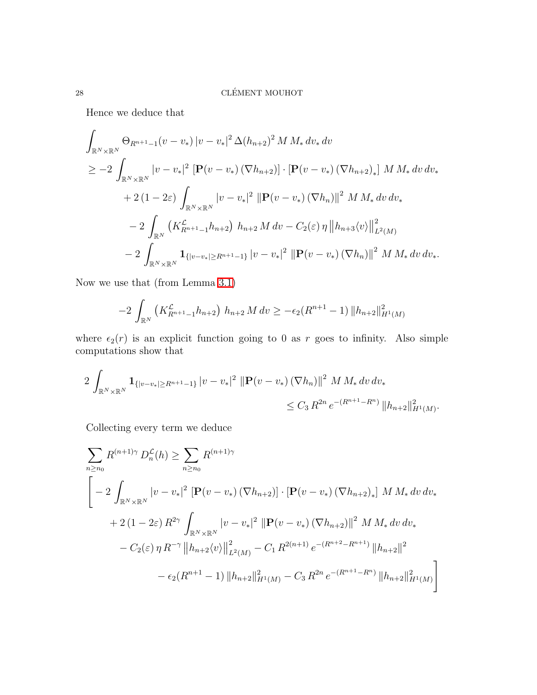Hence we deduce that

$$
\int_{\mathbb{R}^{N} \times \mathbb{R}^{N}} \Theta_{R^{n+1}-1}(v-v_{*}) |v-v_{*}|^{2} \Delta(h_{n+2})^{2} M M_{*} dv_{*} dv
$$
\n
$$
\geq -2 \int_{\mathbb{R}^{N} \times \mathbb{R}^{N}} |v-v_{*}|^{2} [\mathbf{P}(v-v_{*}) (\nabla h_{n+2})] \cdot [\mathbf{P}(v-v_{*}) (\nabla h_{n+2})_{*}] M M_{*} dv dv_{*}
$$
\n
$$
+ 2 (1 - 2\varepsilon) \int_{\mathbb{R}^{N} \times \mathbb{R}^{N}} |v-v_{*}|^{2} ||\mathbf{P}(v-v_{*}) (\nabla h_{n})||^{2} M M_{*} dv dv_{*}
$$
\n
$$
- 2 \int_{\mathbb{R}^{N}} (K_{R^{n+1}-1}^{c} h_{n+2}) h_{n+2} M dv - C_{2}(\varepsilon) \eta ||h_{n+3} \langle v \rangle ||^{2}_{L^{2}(M)}
$$
\n
$$
- 2 \int_{\mathbb{R}^{N} \times \mathbb{R}^{N}} \mathbf{1}_{\{|v-v_{*}| \geq R^{n+1}-1\}} |v-v_{*}|^{2} ||\mathbf{P}(v-v_{*}) (\nabla h_{n})||^{2} M M_{*} dv dv_{*}.
$$

Now we use that (from Lemma [3.1\)](#page-24-0)

$$
-2\int_{\mathbb{R}^N} \left( K_{R^{n+1}-1}^{\mathcal{L}} h_{n+2} \right) h_{n+2} M dv \ge -\epsilon_2 (R^{n+1}-1) \|h_{n+2}\|_{H^1(M)}^2
$$

where  $\epsilon_2(r)$  is an explicit function going to 0 as r goes to infinity. Also simple computations show that

$$
2\int_{\mathbb{R}^N\times\mathbb{R}^N} \mathbf{1}_{\{|v-v_*|\ge R^{n+1}-1\}} |v-v_*|^2 \, \|\mathbf{P}(v-v_*)\,(\nabla h_n)\|^2 \, M \, M_* \, dv \, dv_*
$$
  

$$
\le C_3 R^{2n} \, e^{-(R^{n+1}-R^n)} \, \|h_{n+2}\|_{H^1(M)}^2.
$$

Collecting every term we deduce

$$
\sum_{n\geq n_0} R^{(n+1)\gamma} D_n^{\mathcal{L}}(h) \geq \sum_{n\geq n_0} R^{(n+1)\gamma} \n\left[ -2 \int_{\mathbb{R}^N \times \mathbb{R}^N} |v - v_*|^2 \left[ \mathbf{P}(v - v_*) \left( \nabla h_{n+2} \right) \right] \cdot \left[ \mathbf{P}(v - v_*) \left( \nabla h_{n+2} \right)_* \right] M M_* dv dv_* \n+ 2 (1 - 2\varepsilon) R^{2\gamma} \int_{\mathbb{R}^N \times \mathbb{R}^N} |v - v_*|^2 \left\| \mathbf{P}(v - v_*) \left( \nabla h_{n+2} \right) \right\|^2 M M_* dv dv_* \n- C_2(\varepsilon) \eta R^{-\gamma} \left\| h_{n+2} \langle v \rangle \right\|_{L^2(M)}^2 - C_1 R^{2(n+1)} e^{-(R^{n+2} - R^{n+1})} \left\| h_{n+2} \right\|^2 \n- \epsilon_2 (R^{n+1} - 1) \left\| h_{n+2} \right\|_{H^1(M)}^2 - C_3 R^{2n} e^{-(R^{n+1} - R^n)} \left\| h_{n+2} \right\|_{H^1(M)}^2 \right]
$$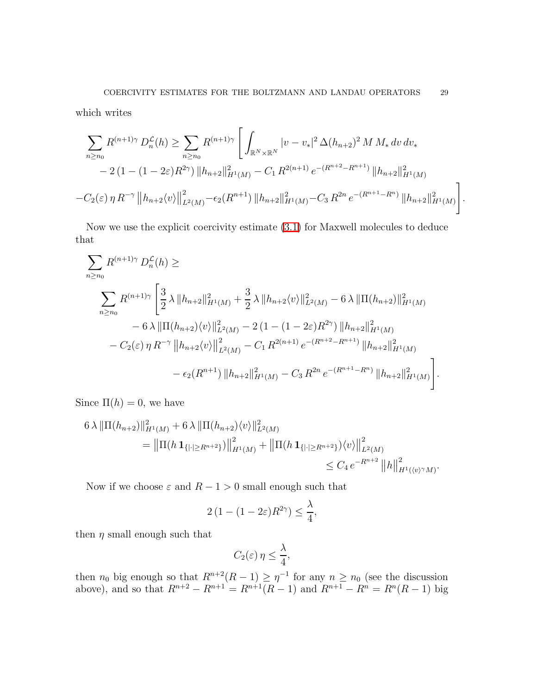which writes

$$
\sum_{n\geq n_0} R^{(n+1)\gamma} D_n^{\mathcal{L}}(h) \geq \sum_{n\geq n_0} R^{(n+1)\gamma} \left[ \int_{\mathbb{R}^N \times \mathbb{R}^N} |v - v_*|^2 \Delta(h_{n+2})^2 M M_* dv dv_* \right. \\ \left. - 2 \left( 1 - (1 - 2\varepsilon) R^{2\gamma} \right) \|h_{n+2}\|_{H^1(M)}^2 - C_1 R^{2(n+1)} e^{-(R^{n+2} - R^{n+1})} \|h_{n+2}\|_{H^1(M)}^2 \right. \\ \left. - C_2(\varepsilon) \eta R^{-\gamma} \left\| h_{n+2} \langle v \rangle \right\|_{L^2(M)}^2 - \epsilon_2 (R^{n+1}) \|h_{n+2}\|_{H^1(M)}^2 - C_3 R^{2n} e^{-(R^{n+1} - R^n)} \|h_{n+2}\|_{H^1(M)}^2 \right].
$$

Now we use the explicit coercivity estimate [\(3.1\)](#page-24-1) for Maxwell molecules to deduce that

$$
\sum_{n\geq n_0} R^{(n+1)\gamma} D_n^{\mathcal{L}}(h) \geq
$$
\n
$$
\sum_{n\geq n_0} R^{(n+1)\gamma} \left[ \frac{3}{2} \lambda \| h_{n+2} \|_{H^1(M)}^2 + \frac{3}{2} \lambda \| h_{n+2} \langle v \rangle \|_{L^2(M)}^2 - 6 \lambda \| \Pi(h_{n+2}) \|_{H^1(M)}^2 - 6 \lambda \| \Pi(h_{n+2}) \langle v \rangle \|_{L^2(M)}^2 - 2 \left( 1 - (1 - 2\varepsilon) R^{2\gamma} \right) \| h_{n+2} \|_{H^1(M)}^2 - C_2(\varepsilon) \eta R^{-\gamma} \| h_{n+2} \langle v \rangle \|_{L^2(M)}^2 - C_1 R^{2(n+1)} e^{-(R^{n+2} - R^{n+1})} \| h_{n+2} \|_{H^1(M)}^2 - \epsilon_2(R^{n+1}) \| h_{n+2} \|_{H^1(M)}^2 - C_3 R^{2n} e^{-(R^{n+1} - R^n)} \| h_{n+2} \|_{H^1(M)}^2 \right].
$$

Since  $\Pi(h) = 0$ , we have

$$
6\lambda \|\Pi(h_{n+2})\|_{H^1(M)}^2 + 6\lambda \|\Pi(h_{n+2})\langle v\rangle\|_{L^2(M)}^2
$$
  
=  $\|\Pi(h\mathbf{1}_{\{|\cdot|\ge R^{n+2}\}})\|_{H^1(M)}^2 + \|\Pi(h\mathbf{1}_{\{|\cdot|\ge R^{n+2}\}})\langle v\rangle\|_{L^2(M)}^2$   
\$\le C\_4 e^{-R^{n+2}} \|h\|\_{H^1(\langle v\rangle^\gamma M)}^2\$.

Now if we choose  $\varepsilon$  and  $R - 1 > 0$  small enough such that

$$
2(1 - (1 - 2\varepsilon)R^{2\gamma}) \le \frac{\lambda}{4},
$$

then  $\eta$  small enough such that

$$
C_2(\varepsilon)\,\eta\leq \frac{\lambda}{4},
$$

then  $n_0$  big enough so that  $R^{n+2}(R-1) \geq \eta^{-1}$  for any  $n \geq n_0$  (see the discussion above), and so that  $R^{n+2} - R^{n+1} = R^{n+1}(R - 1)$  and  $R^{n+1} - R^n = R^n(R - 1)$  big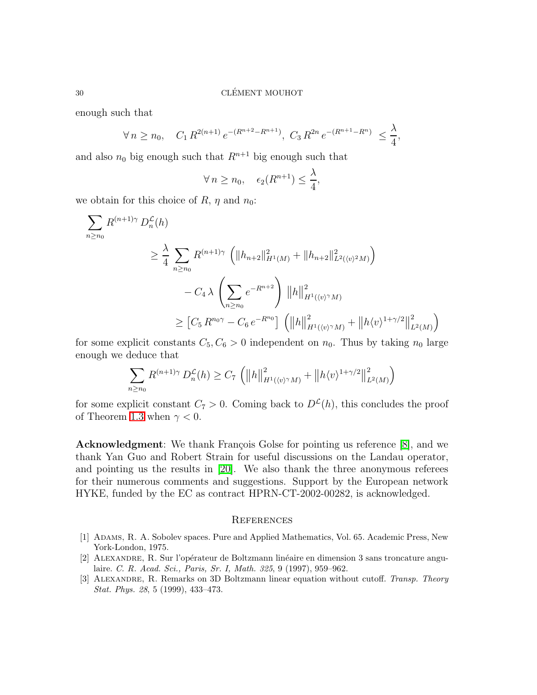enough such that

$$
\forall n \ge n_0, \quad C_1 \, R^{2(n+1)} \, e^{-(R^{n+2} - R^{n+1})}, \ C_3 \, R^{2n} \, e^{-(R^{n+1} - R^n)} \le \frac{\lambda}{4},
$$

and also  $n_0$  big enough such that  $R^{n+1}$  big enough such that

$$
\forall n \ge n_0, \quad \epsilon_2(R^{n+1}) \le \frac{\lambda}{4},
$$

we obtain for this choice of R,  $\eta$  and  $n_0$ :

$$
\sum_{n\geq n_0} R^{(n+1)\gamma} D_n^{\mathcal{L}}(h)
$$
\n
$$
\geq \frac{\lambda}{4} \sum_{n\geq n_0} R^{(n+1)\gamma} \left( \|h_{n+2}\|_{H^1(M)}^2 + \|h_{n+2}\|_{L^2(\langle v \rangle^2 M)}^2 \right)
$$
\n
$$
- C_4 \lambda \left( \sum_{n\geq n_0} e^{-R^{n+2}} \right) \|h\|_{H^1(\langle v \rangle^{\gamma} M)}^2
$$
\n
$$
\geq [C_5 R^{n_0\gamma} - C_6 e^{-R^{n_0}}] \left( \|h\|_{H^1(\langle v \rangle^{\gamma} M)}^2 + \|h\langle v \rangle^{1+\gamma/2}\|_{L^2(M)}^2 \right)
$$

for some explicit constants  $C_5, C_6 > 0$  independent on  $n_0$ . Thus by taking  $n_0$  large enough we deduce that

$$
\sum_{n\geq n_0} R^{(n+1)\gamma} D_n^{\mathcal{L}}(h) \geq C_7 \left( ||h||^2_{H^1(\langle v \rangle^\gamma M)} + ||h \langle v \rangle^{1+\gamma/2}||^2_{L^2(M)} \right)
$$

for some explicit constant  $C_7 > 0$ . Coming back to  $D^{\mathcal{L}}(h)$ , this concludes the proof of Theorem [1.3](#page-8-0) when  $\gamma < 0$ .

Acknowledgment: We thank François Golse for pointing us reference [\[8\]](#page-30-18), and we thank Yan Guo and Robert Strain for useful discussions on the Landau operator, and pointing us the results in [\[20\]](#page-30-11). We also thank the three anonymous referees for their numerous comments and suggestions. Support by the European network HYKE, funded by the EC as contract HPRN-CT-2002-00282, is acknowledged.

#### **REFERENCES**

- <span id="page-29-3"></span><span id="page-29-0"></span>[1] Adams, R. A. Sobolev spaces. Pure and Applied Mathematics, Vol. 65. Academic Press, New York-London, 1975.
- <span id="page-29-1"></span>[2] ALEXANDRE, R. Sur l'opérateur de Boltzmann linéaire en dimension 3 sans troncature angulaire. C. R. Acad. Sci., Paris, Sr. I, Math. 325, 9 (1997), 959–962.
- <span id="page-29-2"></span>[3] Alexandre, R. Remarks on 3D Boltzmann linear equation without cutoff. Transp. Theory Stat. Phys. 28, 5 (1999), 433–473.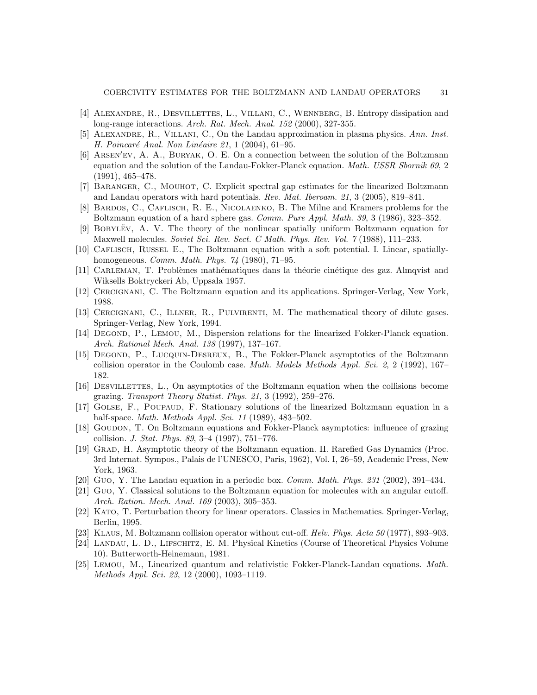- <span id="page-30-9"></span><span id="page-30-4"></span>[4] ALEXANDRE, R., DESVILLETTES, L., VILLANI, C., WENNBERG, B. Entropy dissipation and long-range interactions. Arch. Rat. Mech. Anal. 152 (2000), 327-355.
- [5] Alexandre, R., Villani, C., On the Landau approximation in plasma physics. Ann. Inst. H. Poincaré Anal. Non Linéaire 21, 1 (2004), 61–95.
- <span id="page-30-0"></span>[6] Arsen′ev, A. A., Buryak, O. E. On a connection between the solution of the Boltzmann equation and the solution of the Landau-Fokker-Planck equation. *Math. USSR Sbornik 69*, 2 (1991), 465–478.
- <span id="page-30-18"></span><span id="page-30-8"></span>[7] Baranger, C., Mouhot, C. Explicit spectral gap estimates for the linearized Boltzmann and Landau operators with hard potentials. Rev. Mat. Iberoam. 21, 3 (2005), 819–841.
- [8] Bardos, C., Caflisch, R. E., Nicolaenko, B. The Milne and Kramers problems for the Boltzmann equation of a hard sphere gas. Comm. Pure Appl. Math. 39, 3 (1986), 323–352.
- <span id="page-30-12"></span>[9] Bobyl¨ev, A. V. The theory of the nonlinear spatially uniform Boltzmann equation for Maxwell molecules. Soviet Sci. Rev. Sect. C Math. Phys. Rev. Vol. 7 (1988), 111–233.
- <span id="page-30-13"></span>[10] CAFLISCH, RUSSEL E., The Boltzmann equation with a soft potential. I. Linear, spatiallyhomogeneous. Comm. Math. Phys. 74 (1980), 71–95.
- <span id="page-30-19"></span><span id="page-30-5"></span>[11] CARLEMAN, T. Problèmes mathématiques dans la théorie cinétique des gaz. Almqvist and Wiksells Boktryckeri Ab, Uppsala 1957.
- <span id="page-30-6"></span>[12] Cercignani, C. The Boltzmann equation and its applications. Springer-Verlag, New York, 1988.
- <span id="page-30-20"></span>[13] Cercignani, C., Illner, R., Pulvirenti, M. The mathematical theory of dilute gases. Springer-Verlag, New York, 1994.
- [14] Degond, P., Lemou, M., Dispersion relations for the linearized Fokker-Planck equation. Arch. Rational Mech. Anal. 138 (1997), 137–167.
- <span id="page-30-1"></span>[15] Degond, P., Lucquin-Desreux, B., The Fokker-Planck asymptotics of the Boltzmann collision operator in the Coulomb case. Math. Models Methods Appl. Sci. 2, 2 (1992), 167– 182.
- <span id="page-30-2"></span>[16] Desvillettes, L., On asymptotics of the Boltzmann equation when the collisions become grazing. Transport Theory Statist. Phys. 21, 3 (1992), 259–276.
- <span id="page-30-14"></span>[17] Golse, F., Poupaud, F. Stationary solutions of the linearized Boltzmann equation in a half-space. *Math. Methods Appl. Sci.* 11 (1989), 483–502.
- <span id="page-30-3"></span>[18] Goudon, T. On Boltzmann equations and Fokker-Planck asymptotics: influence of grazing collision. J. Stat. Phys. 89, 3–4 (1997), 751–776.
- <span id="page-30-10"></span>[19] Grad, H. Asymptotic theory of the Boltzmann equation. II. Rarefied Gas Dynamics (Proc. 3rd Internat. Sympos., Palais de l'UNESCO, Paris, 1962), Vol. I, 26–59, Academic Press, New York, 1963.
- <span id="page-30-15"></span><span id="page-30-11"></span>[20] Guo, Y. The Landau equation in a periodic box. Comm. Math. Phys. 231 (2002), 391–434.
- [21] Guo, Y. Classical solutions to the Boltzmann equation for molecules with an angular cutoff. Arch. Ration. Mech. Anal. 169 (2003), 305–353.
- <span id="page-30-17"></span><span id="page-30-16"></span>[22] Kato, T. Perturbation theory for linear operators. Classics in Mathematics. Springer-Verlag, Berlin, 1995.
- <span id="page-30-7"></span>[23] Klaus, M. Boltzmann collision operator without cut-off. Helv. Phys. Acta 50 (1977), 893–903.
- [24] Landau, L. D., Lifschitz, E. M. Physical Kinetics (Course of Theoretical Physics Volume 10). Butterworth-Heinemann, 1981.
- <span id="page-30-21"></span>[25] Lemou, M., Linearized quantum and relativistic Fokker-Planck-Landau equations. Math. Methods Appl. Sci. 23, 12 (2000), 1093–1119.